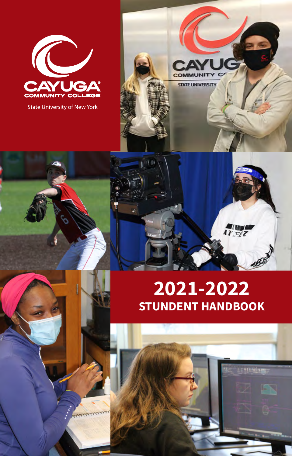

**State University of New York** 

# **2021-2022 STUNDENT HANDBOOK**

47 772

m

**STATE UNIVERSITY** 

 $(1,0)$ 

2021-22 Student Handbook

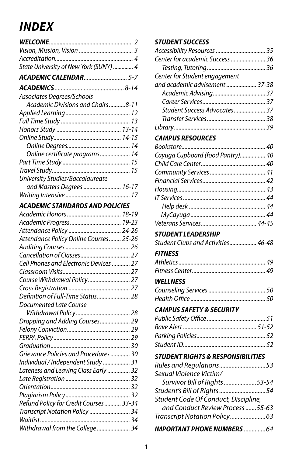# *INDEX*

| State University of New York (SUNY)  4 |
|----------------------------------------|
| ACADEMIC CALENDAR 5-7                  |
|                                        |
| Associates Degrees/Schools             |
| Academic Divisions and Chairs8-11      |
|                                        |
|                                        |
|                                        |
|                                        |
|                                        |
| Online certificate programs 14         |
|                                        |
|                                        |
| University Studies/Baccalaureate       |
| and Masters Degrees  16-17             |
|                                        |

#### *[ACADEMIC STANDARDS AND POLICIES](#page-18-0)*

| Attendance Policy  24-26                |  |
|-----------------------------------------|--|
| Attendance Policy Online Courses 25-26  |  |
|                                         |  |
|                                         |  |
| Cell Phones and Electronic Devices  27  |  |
|                                         |  |
| Course Withdrawal Policy 27             |  |
|                                         |  |
| Definition of Full-Time Status 28       |  |
| Documented Late Course                  |  |
|                                         |  |
| Dropping and Adding Courses 29          |  |
|                                         |  |
|                                         |  |
|                                         |  |
| Grievance Policies and Procedures 30    |  |
| Individual / Independent Study  31      |  |
| Lateness and Leaving Class Early  32    |  |
|                                         |  |
|                                         |  |
|                                         |  |
| Refund Policy for Credit Courses  33-34 |  |
| Transcript Notation Policy  34          |  |
|                                         |  |
| Withdrawal from the College 34          |  |
|                                         |  |

#### *[STUDENT SUCCESS](#page-35-0)*

| Center for academic Success  36<br>Center for Student engagement<br>and academic advisement  37-38 |  |
|----------------------------------------------------------------------------------------------------|--|
|                                                                                                    |  |
|                                                                                                    |  |
|                                                                                                    |  |
|                                                                                                    |  |
|                                                                                                    |  |
|                                                                                                    |  |
| Student Success Advocates 37                                                                       |  |
|                                                                                                    |  |
|                                                                                                    |  |

#### *[CAMPUS RESOURCES](#page-40-0)*

| Cayuga Cupboard (food Pantry) 40 |  |
|----------------------------------|--|
|                                  |  |
|                                  |  |
|                                  |  |
|                                  |  |
|                                  |  |
|                                  |  |
|                                  |  |
|                                  |  |

#### *[STUDENT LEADERSHIP](#page-46-0)*

| Student Clubs and Activities 46-48 |  |
|------------------------------------|--|
|------------------------------------|--|

#### *[FITNESS](#page-49-0)*

#### *[WELLNESS](#page-51-0)*

#### *[CAMPUS SAFETY & SECURITY](#page-53-0)*

#### *[STUDENT RIGHTS & RESPONSIBILITIES](#page-53-0)*

| Rules and Regulations53              |  |
|--------------------------------------|--|
| Sexual Violence Victim/              |  |
| Survivor Bill of Rights 53-54        |  |
| Student's Bill of Rights 54          |  |
| Student Code Of Conduct, Discipline, |  |
| and Conduct Review Process55-63      |  |
|                                      |  |
| <b>IMPORTANT PHONE NUMBERS</b> 64    |  |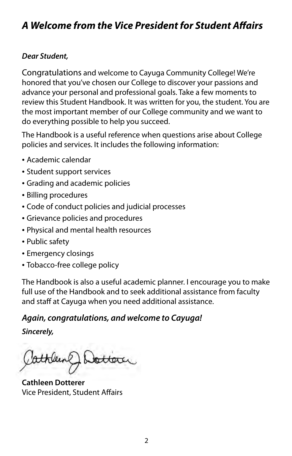### <span id="page-2-0"></span>*A Welcome from the Vice President for Student Afairs*

#### *Dear Student,*

Congratulations and welcome to Cayuga Community College! We're honored that you've chosen our College to discover your passions and advance your personal and professional goals. Take a few moments to review this Student Handbook. It was written for you, the student. You are the most important member of our College community and we want to do everything possible to help you succeed.

The Handbook is a useful reference when questions arise about College policies and services. It includes the following information:

- Academic calendar
- Student support services
- Grading and academic policies
- Billing procedures
- Code of conduct policies and judicial processes
- Grievance policies and procedures
- Physical and mental health resources
- Public safety
- Emergency closings
- Tobacco-free college policy

The Handbook is also a useful academic planner. I encourage you to make full use of the Handbook and to seek additional assistance from faculty and staff at Cayuga when you need additional assistance.

### *Again, congratulations, and welcome to Cayuga!*

*Sincerely,* 

**Cathleen Dotterer**  Vice President, Student Afairs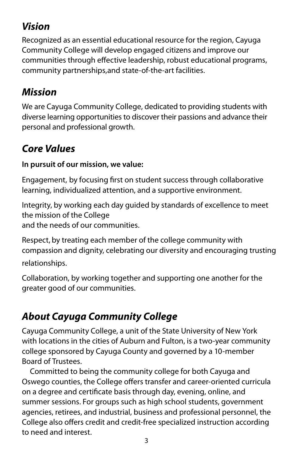## <span id="page-3-0"></span>*Vision*

Recognized as an essential educational resource for the region, Cayuga Community College will develop engaged citizens and improve our communities through efective leadership, robust educational programs, community partnerships,and state-of-the-art facilities.

## *Mission*

We are Cayuga Community College, dedicated to providing students with diverse learning opportunities to discover their passions and advance their personal and professional growth.

## *Core Values*

### **In pursuit of our mission, we value:**

Engagement, by focusing frst on student success through collaborative learning, individualized attention, and a supportive environment.

Integrity, by working each day guided by standards of excellence to meet the mission of the College

and the needs of our communities.

Respect, by treating each member of the college community with compassion and dignity, celebrating our diversity and encouraging trusting relationships.

Collaboration, by working together and supporting one another for the greater good of our communities.

## *About Cayuga Community College*

Cayuga Community College, a unit of the State University of New York with locations in the cities of Auburn and Fulton, is a two-year community college sponsored by Cayuga County and governed by a 10-member Board of Trustees.

Committed to being the community college for both Cayuga and Oswego counties, the College offers transfer and career-oriented curricula on a degree and certifcate basis through day, evening, online, and summer sessions. For groups such as high school students, government agencies, retirees, and industrial, business and professional personnel, the College also offers credit and credit-free specialized instruction according to need and interest.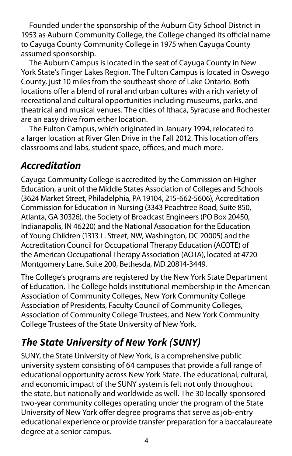<span id="page-4-0"></span>Founded under the sponsorship of the Auburn City School District in 1953 as Auburn Community College, the College changed its official name to Cayuga County Community College in 1975 when Cayuga County assumed sponsorship.

The Auburn Campus is located in the seat of Cayuga County in New York State's Finger Lakes Region. The Fulton Campus is located in Oswego County, just 10 miles from the southeast shore of Lake Ontario. Both locations offer a blend of rural and urban cultures with a rich variety of recreational and cultural opportunities including museums, parks, and theatrical and musical venues. The cities of Ithaca, Syracuse and Rochester are an easy drive from either location.

The Fulton Campus, which originated in January 1994, relocated to a larger location at River Glen Drive in the Fall 2012. This location offers classrooms and labs, student space, offices, and much more.

### *Accreditation*

Cayuga Community College is accredited by the Commission on Higher Education, a unit of the Middle States Association of Colleges and Schools (3624 Market Street, Philadelphia, PA 19104, 215-662-5606), Accreditation Commission for Education in Nursing (3343 Peachtree Road, Suite 850, Atlanta, GA 30326), the Society of Broadcast Engineers (PO Box 20450, Indianapolis, IN 46220) and the National Association for the Education of Young Children (1313 L. Street, NW, Washington, DC 20005) and the Accreditation Council for Occupational Therapy Education (ACOTE) of the American Occupational Therapy Association (AOTA), located at 4720 Montgomery Lane, Suite 200, Bethesda, MD 20814-3449.

The College's programs are registered by the New York State Department of Education. The College holds institutional membership in the American Association of Community Colleges, New York Community College Association of Presidents, Faculty Council of Community Colleges, Association of Community College Trustees, and New York Community College Trustees of the State University of New York.

## *The State University of New York (SUNY)*

SUNY, the State University of New York, is a comprehensive public university system consisting of 64 campuses that provide a full range of educational opportunity across New York State. The educational, cultural, and economic impact of the SUNY system is felt not only throughout the state, but nationally and worldwide as well. The 30 locally-sponsored two-year community colleges operating under the program of the State University of New York offer degree programs that serve as job-entry educational experience or provide transfer preparation for a baccalaureate degree at a senior campus.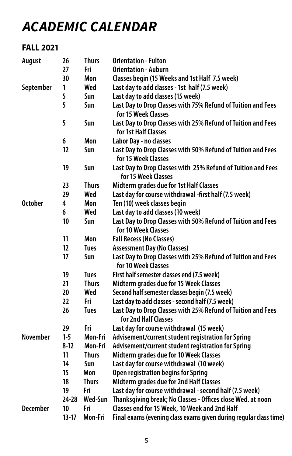# <span id="page-5-0"></span>*ACADEMIC CALENDAR*

### **FALL 2021**

| <b>August</b>   | 26        | <b>Thurs</b> | <b>Orientation - Fulton</b>                                                          |
|-----------------|-----------|--------------|--------------------------------------------------------------------------------------|
|                 | 27        | Fri          | <b>Orientation - Auburn</b>                                                          |
|                 | 30        | Mon          | Classes begin (15 Weeks and 1st Half 7.5 week)                                       |
| September       | 1         | Wed          | Last day to add classes - 1st half (7.5 week)                                        |
|                 | 5         | Sun          | Last day to add classes (15 week)                                                    |
|                 | 5         | Sun          | Last Day to Drop Classes with 75% Refund of Tuition and Fees<br>for 15 Week Classes  |
|                 | 5         | Sun          | Last Day to Drop Classes with 25% Refund of Tuition and Fees<br>for 1st Half Classes |
|                 | 6         | Mon          | Labor Day - no classes                                                               |
|                 | 12        | Sun          | Last Day to Drop Classes with 50% Refund of Tuition and Fees<br>for 15 Week Classes  |
|                 | 19        | Sun          | Last Day to Drop Classes with 25% Refund of Tuition and Fees<br>for 15 Week Classes  |
|                 | 23        | <b>Thurs</b> | Midterm grades due for 1st Half Classes                                              |
|                 | 29        | Wed          | Last day for course withdrawal -first half (7.5 week)                                |
| <b>October</b>  | 4         | Mon          | Ten (10) week classes begin                                                          |
|                 | 6         | Wed          | Last day to add classes (10 week)                                                    |
|                 | 10        | Sun          | Last Day to Drop Classes with 50% Refund of Tuition and Fees<br>for 10 Week Classes  |
|                 | 11        | Mon          | <b>Fall Recess (No Classes)</b>                                                      |
|                 | 12        | <b>Tues</b>  | <b>Assessment Day (No Classes)</b>                                                   |
|                 | 17        | Sun          | Last Day to Drop Classes with 25% Refund of Tuition and Fees<br>for 10 Week Classes  |
|                 | 19        | <b>Tues</b>  | First half semester classes end (7.5 week)                                           |
|                 | 21        | <b>Thurs</b> | Midterm grades due for 15 Week Classes                                               |
|                 | 20        | Wed          | Second half semester classes begin (7.5 week)                                        |
|                 | 22        | Fri          | Last day to add classes - second half (7.5 week)                                     |
|                 | 26        | <b>Tues</b>  | Last Day to Drop Classes with 25% Refund of Tuition and Fees<br>for 2nd Half Classes |
|                 | 29        | Fri          | Last day for course withdrawal (15 week)                                             |
| <b>November</b> | $1-5$     | Mon-Fri      | Advisement/current student registration for Spring                                   |
|                 | $8-12$    | Mon-Fri      | Advisement/current student registration for Spring                                   |
|                 | 11        | <b>Thurs</b> | Midterm grades due for 10 Week Classes                                               |
|                 | 14        | Sun          | Last day for course withdrawal (10 week)                                             |
|                 | 15        | Mon          | Open registration begins for Spring                                                  |
|                 | 18        | <b>Thurs</b> | Midterm grades due for 2nd Half Classes                                              |
|                 | 19        | Fri          | Last day for course withdrawal - second half (7.5 week)                              |
|                 | $24 - 28$ | Wed-Sun      | Thanksgiving break; No Classes - Offices close Wed. at noon                          |
| <b>December</b> | 10        | Fri          | Classes end for 15 Week, 10 Week and 2nd Half                                        |
|                 | $13-17$   | Mon-Fri      | Final exams (evening class exams given during regular class time)                    |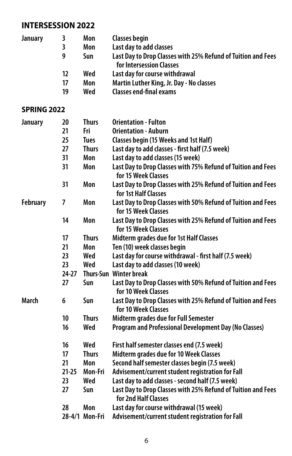### **INTERSESSION 2022**

| <b>January</b>     | 3         | Mon            | <b>Classes begin</b>                                                                 |
|--------------------|-----------|----------------|--------------------------------------------------------------------------------------|
|                    | 3         | Mon            | Last day to add classes                                                              |
|                    | 9         | Sun            | Last Day to Drop Classes with 25% Refund of Tuition and Fees                         |
|                    |           |                | for Intersession Classes                                                             |
|                    | 12        | Wed            | Last day for course withdrawal                                                       |
|                    | 17        | Mon            | Martin Luther King, Jr. Day - No classes                                             |
|                    | 19        | Wed            | <b>Classes end-final exams</b>                                                       |
| <b>SPRING 2022</b> |           |                |                                                                                      |
| January            | 20        | <b>Thurs</b>   | <b>Orientation - Fulton</b>                                                          |
|                    | 21        | Fri            | <b>Orientation - Auburn</b>                                                          |
|                    | 25        | Tues           | Classes begin (15 Weeks and 1st Half)                                                |
|                    | 27        | Thurs          | Last day to add classes - first half (7.5 week)                                      |
|                    | 31        | Mon            | Last day to add classes (15 week)                                                    |
|                    | 31        | Mon            | Last Day to Drop Classes with 75% Refund of Tuition and Fees<br>for 15 Week Classes  |
|                    | 31        | Mon            | Last Day to Drop Classes with 25% Refund of Tuition and Fees<br>for 1st Half Classes |
| <b>February</b>    | 7         | Mon            | Last Day to Drop Classes with 50% Refund of Tuition and Fees<br>for 15 Week Classes  |
|                    | 14        | Mon            | Last Day to Drop Classes with 25% Refund of Tuition and Fees<br>for 15 Week Classes  |
|                    | 17        | <b>Thurs</b>   | Midterm grades due for 1st Half Classes                                              |
|                    | 21        | Mon            | Ten (10) week classes begin                                                          |
|                    | 23        | Wed            | Last day for course withdrawal - first half (7.5 week)                               |
|                    | 23        | Wed            | Last day to add classes (10 week)                                                    |
|                    | 24-27     |                | Thurs-Sun Winter break                                                               |
|                    | 27        | Sun            | Last Day to Drop Classes with 50% Refund of Tuition and Fees<br>for 10 Week Classes  |
| March              | 6         | Sun            | Last Day to Drop Classes with 25% Refund of Tuition and Fees<br>for 10 Week Classes  |
|                    | 10        | <b>Thurs</b>   | Midterm grades due for Full Semester                                                 |
|                    | 16        | Wed            | Program and Professional Development Day (No Classes)                                |
|                    | 16        | Wed            | First half semester classes end (7.5 week)                                           |
|                    | 17        | <b>Thurs</b>   | Midterm grades due for 10 Week Classes                                               |
|                    | 21        | Mon            | Second half semester classes begin (7.5 week)                                        |
|                    | $21 - 25$ | Mon-Fri        | Advisement/current student registration for Fall                                     |
|                    | 23        | Wed            | Last day to add classes - second half (7.5 week)                                     |
|                    | 27        | Sun            | Last Day to Drop Classes with 25% Refund of Tuition and Fees<br>for 2nd Half Classes |
|                    | 28        | Mon            | Last day for course withdrawal (15 week)                                             |
|                    |           | 28-4/1 Mon-Fri | Advisement/current student registration for Fall                                     |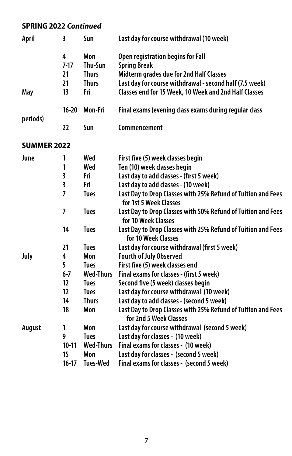### **SPRING 2022** *Continued*

| April              | 3                       | Sun              | Last day for course withdrawal (10 week)                                               |
|--------------------|-------------------------|------------------|----------------------------------------------------------------------------------------|
|                    | 4<br>$7-17$             | Mon<br>Thu-Sun   | Open registration begins for Fall<br><b>Spring Break</b>                               |
|                    | 21                      | <b>Thurs</b>     | Midterm grades due for 2nd Half Classes                                                |
|                    | 21                      | <b>Thurs</b>     | Last day for course withdrawal - second half (7.5 week)                                |
| May                | 13                      | Fri              | Classes end for 15 Week, 10 Week and 2nd Half Classes                                  |
| periods)           | $16 - 20$               | <b>Mon-Fri</b>   | Final exams (evening class exams during regular class                                  |
|                    | 22                      | Sun              | Commencement                                                                           |
| <b>SUMMER 2022</b> |                         |                  |                                                                                        |
| June               | 1                       | Wed              | First five (5) week classes begin                                                      |
|                    | 1                       | Wed              | Ten (10) week classes begin                                                            |
|                    | 3                       | Fri              | Last day to add classes - (first 5 week)                                               |
|                    | $\overline{\mathbf{3}}$ | Fri              | Last day to add classes - (10 week)                                                    |
|                    | 7                       | <b>Tues</b>      | Last Day to Drop Classes with 25% Refund of Tuition and Fees<br>for 1st 5 Week Classes |
|                    | 7                       | <b>Tues</b>      | Last Day to Drop Classes with 50% Refund of Tuition and Fees<br>for 10 Week Classes    |
|                    | 14                      | <b>Tues</b>      | Last Day to Drop Classes with 25% Refund of Tuition and Fees<br>for 10 Week Classes    |
|                    | 21                      | <b>Tues</b>      | Last day for course withdrawal (first 5 week)                                          |
| July               | 4                       | Mon              | <b>Fourth of July Observed</b>                                                         |
|                    | 5                       | <b>Tues</b>      | First five (5) week classes end                                                        |
|                    | $6 - 7$                 | <b>Wed-Thurs</b> | Final exams for classes - (first 5 week)                                               |
|                    | 12                      | <b>Tues</b>      | Second five (5 week) classes begin                                                     |
|                    | 12                      | <b>Tues</b>      | Last day for course withdrawal (10 week)                                               |
|                    | 14                      | <b>Thurs</b>     | Last day to add classes - (second 5 week)                                              |
|                    | 18                      | Mon              | Last Day to Drop Classes with 25% Refund of Tuition and Fees<br>for 2nd 5 Week Classes |
| <b>August</b>      | 1                       | Mon              | Last day for course withdrawal (second 5 week)                                         |
|                    | 9                       | <b>Tues</b>      | Last day for classes - (10 week)                                                       |
|                    | $10-11$                 | <b>Wed-Thurs</b> | Final exams for classes - (10 week)                                                    |
|                    | 15                      | Mon              | Last day for classes - (second 5 week)                                                 |
|                    | $16-17$                 | <b>Tues-Wed</b>  | Final exams for classes - (second 5 week)                                              |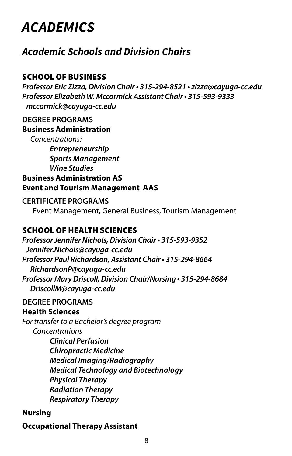# <span id="page-8-0"></span>*ACADEMICS*

### *Academic Schools and Division Chairs*

### SCHOOL OF BUSINESS

*Professor Eric Zizza, Division Chair • 315-294-8521 • [zizza@cayuga-cc.edu](mailto:zizza%40cayuga-cc.edu?subject=)  Professor Elizabeth W. Mccormick Assistant Chair • 315-593-9333 [mccormick@cayuga-cc.edu](mailto:mccormick@cayuga-cc.edu)* 

#### **DEGREE PROGRAMS Business Administration**

*Concentrations:* 

*Entrepreneurship Sports Management Wine Studies* 

### **Business Administration AS Event and Tourism Management AAS**

#### **CERTIFICATE PROGRAMS**

Event Management, General Business, Tourism Management

### SCHOOL OF HEALTH SCIENCES

*Professor Jennifer Nichols, Division Chair • 315-593-9352 [Jennifer.Nichols@cayuga-cc.edu](mailto:Jennifer.Nichols@cayuga-cc.edu) Professor Paul Richardson, Assistant Chair • 315-294-8664 [RichardsonP@cayuga-cc.edu](mailto:RichardsonP@cayuga-cc.edu)  Professor Mary Driscoll, Division Chair/Nursing • 315-294-8684 DriscollM[@cayuga-cc.edu](mailto:RichardsonP@cayuga-cc.edu)* 

### **DEGREE PROGRAMS**

#### **Health Sciences**

*For transfer to a Bachelor's degree program Concentrations Clinical Perfusion Chiropractic Medicine Medical Imaging/Radiography Medical Technology and Biotechnology Physical Therapy Radiation Therapy Respiratory Therapy* 

#### **Nursing**

### **Occupational Therapy Assistant**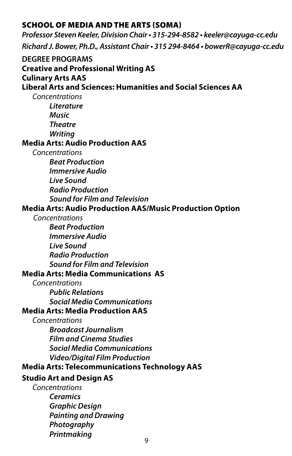#### SCHOOL OF MEDIA AND THE ARTS (SOMA)

*Professor Steven Keeler, Division Chair • 315-294-8582 • [keeler@cayuga-cc.edu](mailto:keeler@cayuga-cc.edu) Richard J. Bower, Ph.D., Assistant Chair • 315 294-8464 • [bowerR@cayuga-cc.edu](mailto:bowerR@cayuga-cc.edu)*  **DEGREE PROGRAMS Creative and Professional Writing AS Culinary Arts AAS Liberal Arts and Sciences: Humanities and Social Sciences AA**  *Concentrations Literature Music Theatre Writing*  **Media Arts: Audio Production AAS**  *Concentrations Beat Production Immersive Audio Live Sound Radio Production Sound for Film and Television*  **Media Arts: Audio Production AAS/Music Production Option**  *Concentrations Beat Production Immersive Audio Live Sound Radio Production Sound for Film and Television*  **Media Arts: Media Communications AS**  *Concentrations Public Relations Social Media Communications*  **Media Arts: Media Production AAS**  *Concentrations Broadcast Journalism Film and Cinema Studies Social Media Communications Video/Digital Film Production*  **Media Arts: Telecommunications Technology AAS Studio Art and Design AS**  *Concentrations Ceramics Graphic Design Painting and Drawing Photography* 

*Printmaking* 9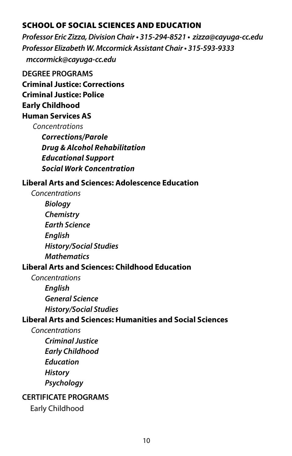#### SCHOOL OF SOCIAL SCIENCES AND EDUCATION

*Professor Eric Zizza, Division Chair • 315-294-8521 • [zizza@cayuga-cc.edu](mailto:zizza%40cayuga-cc.edu?subject=) Professor Elizabeth W. Mccormick Assistant Chair • 315-593-9333 [mccormick@cayuga-cc.edu](mailto:mccormick@cayuga-cc.edu)* 

### **DEGREE PROGRAMS Criminal Justice: Corrections Criminal Justice: Police Early Childhood**

### **Human Services AS**

*Concentrations* 

*Corrections/Parole Drug & Alcohol Rehabilitation Educational Support Social Work Concentration* 

#### **Liberal Arts and Sciences: Adolescence Education**

 *Concentrations Biology Chemistry Earth Science English History/Social Studies Mathematics* 

### **Liberal Arts and Sciences: Childhood Education**

*Concentrations English General Science History/Social Studies* 

#### **Liberal Arts and Sciences: Humanities and Social Sciences**

*Concentrations Criminal Justice Early Childhood Education History Psychology* 

### **CERTIFICATE PROGRAMS**

Early Childhood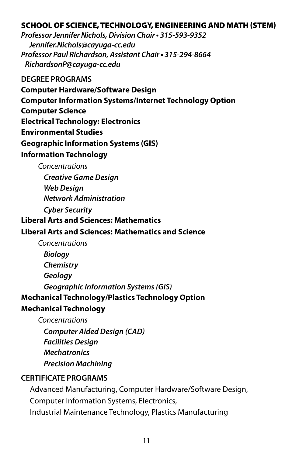#### SCHOOL OF SCIENCE, TECHNOLOGY, ENGINEERING AND MATH (STEM)

*Professor Jennifer Nichols, Division Chair • 315-593-9352 [Jennifer.Nichols@cayuga-cc.edu](mailto:Jennifer.Nichols@cayuga-cc.edu)  Professor Paul Richardson, Assistant Chair • 315-294-8664 [RichardsonP@cayuga-cc.edu](mailto:RichardsonP@cayuga-cc.edu)* 

**DEGREE PROGRAMS** 

**Computer Hardware/Software Design** 

**Computer Information Systems/Internet Technology Option** 

**Computer Science** 

**Electrical Technology: Electronics** 

**Environmental Studies** 

**Geographic Information Systems (GIS)** 

#### **Information Technology**

*Concentrations* 

*Creative Game Design Web Design Network Administration* 

*Cyber Security* 

#### **Liberal Arts and Sciences: Mathematics**

#### **Liberal Arts and Sciences: Mathematics and Science**

*Concentrations* 

*Biology Chemistry Geology Geographic Information Systems (GIS)*  **Mechanical Technology/Plastics Technology Option** 

### **Mechanical Technology**

*Concentrations* 

*Computer Aided Design (CAD)* 

*Facilities Design* 

*Mechatronics* 

*Precision Machining* 

### **CERTIFICATE PROGRAMS**

Advanced Manufacturing, Computer Hardware/Software Design, Computer Information Systems, Electronics, Industrial Maintenance Technology, Plastics Manufacturing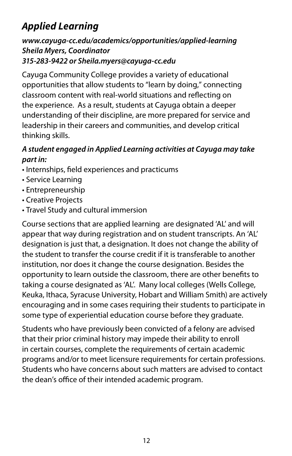## <span id="page-12-0"></span>*Applied Learning*

### *[www.cayuga-cc.edu/academics/opportunities/applied-learning](https://www.cayuga-cc.edu/academics/opportunities/applied-learning/) Sheila Myers, Coordinator 315-283-9422 or [Sheila.myers@cayuga-cc.edu](mailto:Sheila.myers%40cayuga-cc.edu?subject=)*

 thinking skills. Cayuga Community College provides a variety of educational opportunities that allow students to "learn by doing," connecting classroom content with real-world situations and refecting on the experience. As a result, students at Cayuga obtain a deeper understanding of their discipline, are more prepared for service and leadership in their careers and communities, and develop critical

### *A student engaged in Applied Learning activities at Cayuga may take part in:*

- Internships, feld experiences and practicums
- Service Learning
- Entrepreneurship
- Creative Projects
- Travel Study and cultural immersion

Course sections that are applied learning are designated 'AL' and will appear that way during registration and on student transcripts. An 'AL' designation is just that, a designation. It does not change the ability of the student to transfer the course credit if it is transferable to another institution, nor does it change the course designation. Besides the opportunity to learn outside the classroom, there are other benefts to taking a course designated as 'AL'. Many local colleges (Wells College, Keuka, Ithaca, Syracuse University, Hobart and William Smith) are actively encouraging and in some cases requiring their students to participate in some type of experiential education course before they graduate.

Students who have previously been convicted of a felony are advised that their prior criminal history may impede their ability to enroll in certain courses, complete the requirements of certain academic programs and/or to meet licensure requirements for certain professions. Students who have concerns about such matters are advised to contact the dean's office of their intended academic program.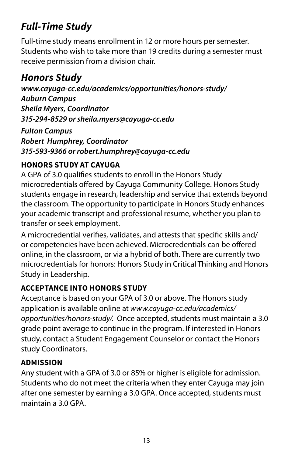## <span id="page-13-0"></span>*Full-Time Study*

Full-time study means enrollment in 12 or more hours per semester. Students who wish to take more than 19 credits during a semester must receive permission from a division chair.

### *Honors Study*

*<www.cayuga-cc.edu/academics/opportunities/honors-study>/ Auburn Campus Sheila Myers, Coordinator 315-294-8529 or [sheila.myers@cayuga-cc.edu](mailto:sheila.myers@cayuga-cc.edu)* 

*Fulton Campus Robert Humphrey, Coordinator 315-593-9366 or [robert.humphrey@cayuga-cc.edu](mailto:robert.humphrey@cayuga-cc.edu)* 

### **HONORS STUDY AT CAYUGA**

A GPA of 3.0 qualifes students to enroll in the Honors Study microcredentials ofered by Cayuga Community College. Honors Study students engage in research, leadership and service that extends beyond the classroom. The opportunity to participate in Honors Study enhances your academic transcript and professional resume, whether you plan to transfer or seek employment.

A microcredential verifes, validates, and attests that specifc skills and/ or competencies have been achieved. Microcredentials can be ofered online, in the classroom, or via a hybrid of both. There are currently two microcredentials for honors: Honors Study in Critical Thinking and Honors Study in Leadership.

### **ACCEPTANCE INTO HONORS STUDY**

Acceptance is based on your GPA of 3.0 or above. The Honors study application is available online at *[www.cayuga-cc.edu/academics/](www.cayuga-cc.edu/academics) opportunities/honors-study/.* Once accepted, students must maintain a 3.0 grade point average to continue in the program. If interested in Honors study, contact a Student Engagement Counselor or contact the Honors study Coordinators.

### **ADMISSION**

Any student with a GPA of 3.0 or 85% or higher is eligible for admission. Students who do not meet the criteria when they enter Cayuga may join after one semester by earning a 3.0 GPA. Once accepted, students must maintain a 3.0 GPA.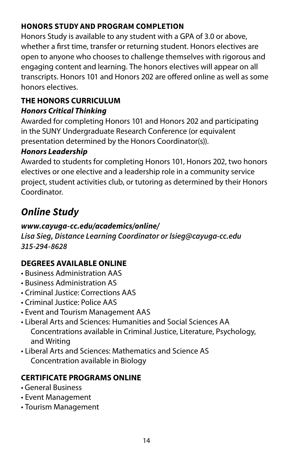### <span id="page-14-0"></span>**HONORS STUDY AND PROGRAM COMPLETION**

Honors Study is available to any student with a GPA of 3.0 or above, whether a frst time, transfer or returning student. Honors electives are open to anyone who chooses to challenge themselves with rigorous and engaging content and learning. The honors electives will appear on all transcripts. Honors 101 and Honors 202 are ofered online as well as some honors electives.

### **THE HONORS CURRICULUM**  *Honors Critical Thinking*

Awarded for completing Honors 101 and Honors 202 and participating in the SUNY Undergraduate Research Conference (or equivalent presentation determined by the Honors Coordinator(s)).

### *Honors Leadership*

Awarded to students for completing Honors 101, Honors 202, two honors electives or one elective and a leadership role in a community service project, student activities club, or tutoring as determined by their Honors Coordinator.

## *Online Study*

### *<www.cayuga-cc.edu/academics/online>/*

*Lisa Sieg, Distance Learning Coordinator or [lsieg@cayuga-cc.edu](mailto:lsieg%40cayuga-cc.edu?subject=)  315-294-8628* 

### **DEGREES AVAILABLE ONLINE**

- Business Administration AAS
- Business Administration AS
- Criminal Justice: Corrections AAS
- Criminal Justice: Police AAS
- Event and Tourism Management AAS
- Liberal Arts and Sciences: Humanities and Social Sciences AA Concentrations available in Criminal Justice, Literature, Psychology, and Writing
- Liberal Arts and Sciences: Mathematics and Science AS Concentration available in Biology

### **CERTIFICATE PROGRAMS ONLINE**

- General Business
- Event Management
- Tourism Management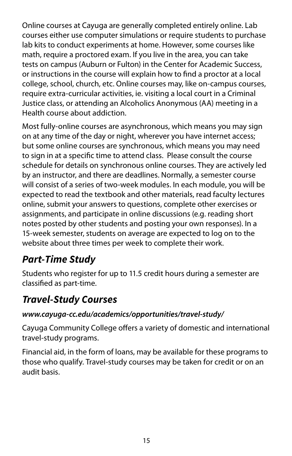<span id="page-15-0"></span>Online courses at Cayuga are generally completed entirely online. Lab courses either use computer simulations or require students to purchase lab kits to conduct experiments at home. However, some courses like math, require a proctored exam. If you live in the area, you can take tests on campus (Auburn or Fulton) in the Center for Academic Success, or instructions in the course will explain how to fnd a proctor at a local college, school, church, etc. Online courses may, like on-campus courses, require extra-curricular activities, ie. visiting a local court in a Criminal Justice class, or attending an Alcoholics Anonymous (AA) meeting in a Health course about addiction.

Most fully-online courses are asynchronous, which means you may sign on at any time of the day or night, wherever you have internet access; but some online courses are synchronous, which means you may need to sign in at a specifc time to attend class. Please consult the course schedule for details on synchronous online courses. They are actively led by an instructor, and there are deadlines. Normally, a semester course will consist of a series of two-week modules. In each module, you will be expected to read the textbook and other materials, read faculty lectures online, submit your answers to questions, complete other exercises or assignments, and participate in online discussions (e.g. reading short notes posted by other students and posting your own responses). In a 15-week semester, students on average are expected to log on to the website about three times per week to complete their work.

## *Part-Time Study*

Students who register for up to 11.5 credit hours during a semester are classifed as part-time.

### *Travel-Study Courses*

### *[www.cayuga-cc.edu/academics/opportunities/travel-study/](www.cayuga-cc.edu/academics/opportunities/travel-study)*

Cayuga Community College offers a variety of domestic and international travel-study programs.

Financial aid, in the form of loans, may be available for these programs to those who qualify. Travel-study courses may be taken for credit or on an audit basis.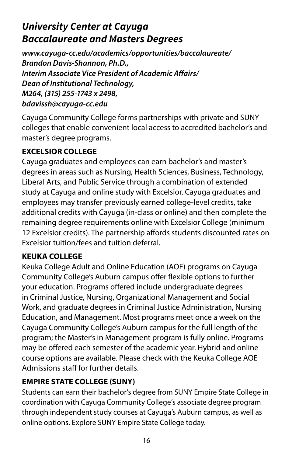## <span id="page-16-0"></span>*University Center at Cayuga Baccalaureate and Masters Degrees*

*[www.cayuga-cc.edu/academics/opportunities/baccalaureate/](www.cayuga-cc.edu/academics/opportunities/baccalaureate) Brandon Davis-Shannon, Ph.D., Interim Associate Vice President of Academic Afairs/ Dean of Institutional Technology, M264, (315) 255-1743 x 2498, [bdavissh@cayuga-cc.edu](mailto:bdavissh@cayuga-cc.edu)* 

Cayuga Community College forms partnerships with private and SUNY colleges that enable convenient local access to accredited bachelor's and master's degree programs.

### **EXCELSIOR COLLEGE**

Cayuga graduates and employees can earn bachelor's and master's degrees in areas such as Nursing, Health Sciences, Business, Technology, Liberal Arts, and Public Service through a combination of extended study at Cayuga and online study with Excelsior. Cayuga graduates and employees may transfer previously earned college-level credits, take additional credits with Cayuga (in-class or online) and then complete the remaining degree requirements online with Excelsior College (minimum 12 Excelsior credits). The partnership affords students discounted rates on Excelsior tuition/fees and tuition deferral.

### **KEUKA COLLEGE**

Keuka College Adult and Online Education (AOE) programs on Cayuga Community College's Auburn campus offer flexible options to further your education. Programs offered include undergraduate degrees in Criminal Justice, Nursing, Organizational Management and Social Work, and graduate degrees in Criminal Justice Administration, Nursing Education, and Management. Most programs meet once a week on the Cayuga Community College's Auburn campus for the full length of the program; the Master's in Management program is fully online. Programs may be ofered each semester of the academic year. Hybrid and online course options are available. Please check with the Keuka College AOE Admissions staff for further details.

### **EMPIRE STATE COLLEGE (SUNY)**

Students can earn their bachelor's degree from SUNY Empire State College in coordination with Cayuga Community College's associate degree program through independent study courses at Cayuga's Auburn campus, as well as online options. Explore SUNY Empire State College today.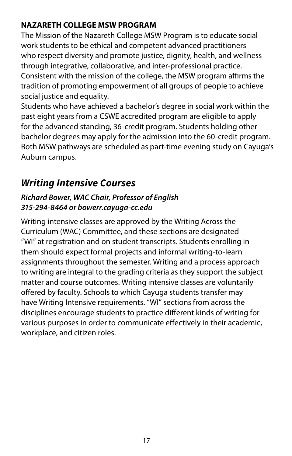### **NAZARETH COLLEGE MSW PROGRAM**

The Mission of the Nazareth College MSW Program is to educate social work students to be ethical and competent advanced practitioners who respect diversity and promote justice, dignity, health, and wellness through integrative, collaborative, and inter-professional practice. Consistent with the mission of the college, the MSW program affirms the tradition of promoting empowerment of all groups of people to achieve social justice and equality.

Students who have achieved a bachelor's degree in social work within the past eight years from a CSWE accredited program are eligible to apply for the advanced standing, 36-credit program. Students holding other bachelor degrees may apply for the admission into the 60-credit program. Both MSW pathways are scheduled as part-time evening study on Cayuga's Auburn campus.

### *Writing Intensive Courses*

### *Richard Bower, WAC Chair, Professor of English 315-294-8464 or [bowerr.cayuga-cc.edu](mailto:bowerr.cayuga-cc.edu?subject=)*

Writing intensive classes are approved by the Writing Across the Curriculum (WAC) Committee, and these sections are designated "WI" at registration and on student transcripts. Students enrolling in them should expect formal projects and informal writing-to-learn assignments throughout the semester. Writing and a process approach to writing are integral to the grading criteria as they support the subject matter and course outcomes. Writing intensive classes are voluntarily offered by faculty. Schools to which Cayuga students transfer may have Writing Intensive requirements. "WI" sections from across the disciplines encourage students to practice diferent kinds of writing for various purposes in order to communicate efectively in their academic, workplace, and citizen roles.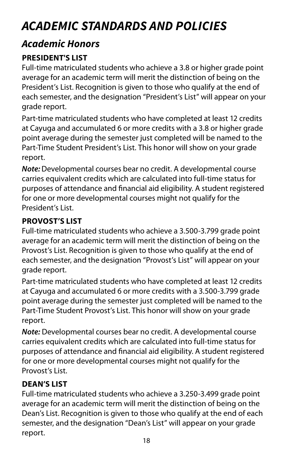# <span id="page-18-0"></span>*ACADEMIC STANDARDS AND POLICIES*

### *Academic Honors*

### **PRESIDENT'S LIST**

Full-time matriculated students who achieve a 3.8 or higher grade point average for an academic term will merit the distinction of being on the President's List. Recognition is given to those who qualify at the end of each semester, and the designation "President's List" will appear on your grade report.

Part-time matriculated students who have completed at least 12 credits at Cayuga and accumulated 6 or more credits with a 3.8 or higher grade point average during the semester just completed will be named to the Part-Time Student President's List. This honor will show on your grade report.

*Note:* Developmental courses bear no credit. A developmental course carries equivalent credits which are calculated into full-time status for purposes of attendance and fnancial aid eligibility. A student registered for one or more developmental courses might not qualify for the President's List.

### **PROVOST'S LIST**

Full-time matriculated students who achieve a 3.500-3.799 grade point average for an academic term will merit the distinction of being on the Provost's List. Recognition is given to those who qualify at the end of each semester, and the designation "Provost's List" will appear on your grade report.

Part-time matriculated students who have completed at least 12 credits at Cayuga and accumulated 6 or more credits with a 3.500-3.799 grade point average during the semester just completed will be named to the Part-Time Student Provost's List. This honor will show on your grade report.

*Note:* Developmental courses bear no credit. A developmental course carries equivalent credits which are calculated into full-time status for purposes of attendance and fnancial aid eligibility. A student registered for one or more developmental courses might not qualify for the Provost's List.

### **DEAN'S LIST**

Full-time matriculated students who achieve a 3.250-3.499 grade point average for an academic term will merit the distinction of being on the Dean's List. Recognition is given to those who qualify at the end of each semester, and the designation "Dean's List" will appear on your grade report.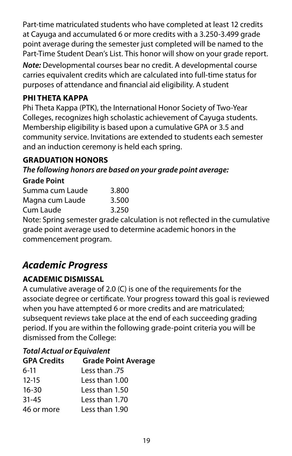Part-time matriculated students who have completed at least 12 credits at Cayuga and accumulated 6 or more credits with a 3.250-3.499 grade point average during the semester just completed will be named to the Part-Time Student Dean's List. This honor will show on your grade report.

*Note:* Developmental courses bear no credit. A developmental course carries equivalent credits which are calculated into full-time status for purposes of attendance and fnancial aid eligibility. A student

### **PHI THETA KAPPA**

Phi Theta Kappa (PTK), the International Honor Society of Two-Year Colleges, recognizes high scholastic achievement of Cayuga students. Membership eligibility is based upon a cumulative GPA or 3.5 and community service. Invitations are extended to students each semester and an induction ceremony is held each spring.

### **GRADUATION HONORS**

*The following honors are based on your grade point average:* 

#### **Grade Point**

| Summa cum Laude | 3.800 |
|-----------------|-------|
| Magna cum Laude | 3.500 |
| Cum Laude       | 3.250 |

Note: Spring semester grade calculation is not refected in the cumulative grade point average used to determine academic honors in the commencement program.

### *Academic Progress*

### **ACADEMIC DISMISSAL**

A cumulative average of 2.0 (C) is one of the requirements for the associate degree or certifcate. Your progress toward this goal is reviewed when you have attempted 6 or more credits and are matriculated; subsequent reviews take place at the end of each succeeding grading period. If you are within the following grade-point criteria you will be dismissed from the College:

### *Total Actual or Equivalent*

| <b>GPA Credits</b> | <b>Grade Point Average</b> |
|--------------------|----------------------------|
| $6-11$             | 75. Less than              |
| $12 - 15$          | Less than 1.00             |
| $16 - 30$          | Less than 1.50             |
| $31 - 45$          | Less than 1.70             |
| 46 or more         | Less than 1.90             |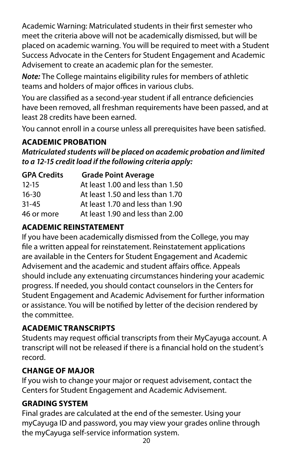<span id="page-20-0"></span>Academic Warning: Matriculated students in their frst semester who meet the criteria above will not be academically dismissed, but will be placed on academic warning. You will be required to meet with a Student Success Advocate in the Centers for Student Engagement and Academic Advisement to create an academic plan for the semester.

*Note:* The College maintains eligibility rules for members of athletic teams and holders of major offices in various clubs.

You are classifed as a second-year student if all entrance defciencies have been removed, all freshman requirements have been passed, and at least 28 credits have been earned.

You cannot enroll in a course unless all prerequisites have been satisfed.

### **ACADEMIC PROBATION**

*Matriculated students will be placed on academic probation and limited to a 12-15 credit load if the following criteria apply:* 

| <b>GPA Credits</b> | <b>Grade Point Average</b>       |
|--------------------|----------------------------------|
| $12 - 15$          | At least 1.00 and less than 1.50 |
| $16-30$            | At least 1.50 and less than 1.70 |
| $31 - 45$          | At least 1.70 and less than 1.90 |
| 46 or more         | At least 1.90 and less than 2.00 |

### **ACADEMIC REINSTATEMENT**

If you have been academically dismissed from the College, you may fle a written appeal for reinstatement. Reinstatement applications are available in the Centers for Student Engagement and Academic Advisement and the academic and student affairs office. Appeals should include any extenuating circumstances hindering your academic progress. If needed, you should contact counselors in the Centers for Student Engagement and Academic Advisement for further information or assistance. You will be notifed by letter of the decision rendered by the committee.

### **ACADEMIC TRANSCRIPTS**

Students may request official transcripts from their MyCayuga account. A transcript will not be released if there is a fnancial hold on the student's record.

### **CHANGE OF MAJOR**

If you wish to change your major or request advisement, contact the Centers for Student Engagement and Academic Advisement.

### **GRADING SYSTEM**

Final grades are calculated at the end of the semester. Using your myCayuga ID and password, you may view your grades online through the myCayuga self-service information system.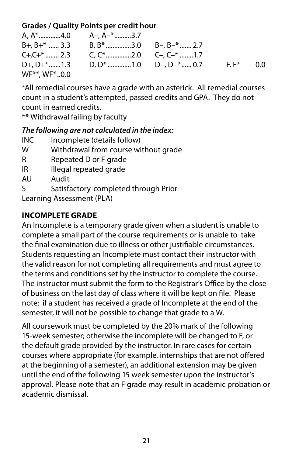### **Grades / Quality Points per credit hour**

|                           | A, $A^*$ , 4.0 $A-, A^{-*}$ , 3.7                                                       |  |     |
|---------------------------|-----------------------------------------------------------------------------------------|--|-----|
|                           | $B+, B+^*$ 3.3 B, $B^*$ 3.0 B-, B- <sup>*</sup> 2.7                                     |  |     |
|                           |                                                                                         |  |     |
|                           | $D+$ , $D+$ <sup>*</sup> 1.3 D, $D$ <sup>*</sup> 1.0 D–, $D-$ <sup>*</sup> 0.7 F, $F^*$ |  | 0.0 |
| $WF^{**}$ , WF $^{*}$ 0.0 |                                                                                         |  |     |

\*All remedial courses have a grade with an asterick. All remedial courses count in a student's attempted, passed credits and GPA. They do not count in earned credits.

\*\* Withdrawal failing by faculty

### *The following are not calculated in the index:*

- INC Incomplete (details follow)
- W Withdrawal from course without grade
- R Repeated D or F grade
- IR Illegal repeated grade
- AU Audit
- S Satisfactory-completed through Prior Learning Assessment (PLA)

### **INCOMPLETE GRADE**

An Incomplete is a temporary grade given when a student is unable to complete a small part of the course requirements or is unable to take the fnal examination due to illness or other justifable circumstances. Students requesting an Incomplete must contact their instructor with the valid reason for not completing all requirements and must agree to the terms and conditions set by the instructor to complete the course. The instructor must submit the form to the Registrar's Office by the close of business on the last day of class where it will be kept on fle. Please note: if a student has received a grade of Incomplete at the end of the semester, it will not be possible to change that grade to a W.

academic dismissal. All coursework must be completed by the 20% mark of the following 15-week semester; otherwise the incomplete will be changed to F, or the default grade provided by the instructor. In rare cases for certain courses where appropriate (for example, internships that are not ofered at the beginning of a semester), an additional extension may be given until the end of the following 15 week semester upon the instructor's approval. Please note that an F grade may result in academic probation or academic dismissal.<br>21<br>21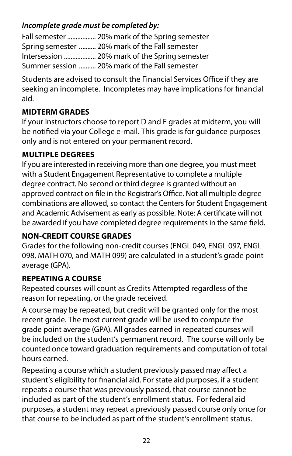### *Incomplete grade must be completed by:*

Fall semester ................. 20% mark of the Spring semester Spring semester .......... 20% mark of the Fall semester Intersession ................... 20% mark of the Spring semester Summer session .......... 20% mark of the Fall semester

Students are advised to consult the Financial Services Office if they are seeking an incomplete. Incompletes may have implications for fnancial aid.

### **MIDTERM GRADES**

If your instructors choose to report D and F grades at midterm, you will be notifed via your College e-mail. This grade is for guidance purposes only and is not entered on your permanent record.

### **MULTIPLE DEGREES**

If you are interested in receiving more than one degree, you must meet with a Student Engagement Representative to complete a multiple degree contract. No second or third degree is granted without an approved contract on file in the Registrar's Office. Not all multiple degree combinations are allowed, so contact the Centers for Student Engagement and Academic Advisement as early as possible. Note: A certifcate will not be awarded if you have completed degree requirements in the same feld.

### **NON-CREDIT COURSE GRADES**

Grades for the following non-credit courses (ENGL 049, ENGL 097, ENGL 098, MATH 070, and MATH 099) are calculated in a student's grade point average (GPA).

### **REPEATING A COURSE**

Repeated courses will count as Credits Attempted regardless of the reason for repeating, or the grade received.

A course may be repeated, but credit will be granted only for the most recent grade. The most current grade will be used to compute the grade point average (GPA). All grades earned in repeated courses will be included on the student's permanent record. The course will only be counted once toward graduation requirements and computation of total hours earned.

Repeating a course which a student previously passed may affect a student's eligibility for fnancial aid. For state aid purposes, if a student repeats a course that was previously passed, that course cannot be included as part of the student's enrollment status. For federal aid purposes, a student may repeat a previously passed course only once for that course to be included as part of the student's enrollment status.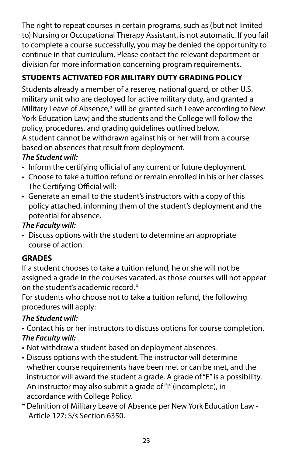The right to repeat courses in certain programs, such as (but not limited to) Nursing or Occupational Therapy Assistant, is not automatic. If you fail to complete a course successfully, you may be denied the opportunity to continue in that curriculum. Please contact the relevant department or division for more information concerning program requirements.

### **STUDENTS ACTIVATED FOR MILITARY DUTY GRADING POLICY**

Students already a member of a reserve, national guard, or other U.S. military unit who are deployed for active military duty, and granted a Military Leave of Absence,\* will be granted such Leave according to New York Education Law; and the students and the College will follow the policy, procedures, and grading guidelines outlined below. A student cannot be withdrawn against his or her will from a course

based on absences that result from deployment.

### *The Student will:*

- Inform the certifying official of any current or future deployment.
- Choose to take a tuition refund or remain enrolled in his or her classes. The Certifying Official will:
- Generate an email to the student's instructors with a copy of this policy attached, informing them of the student's deployment and the potential for absence.

### *The Faculty will:*

• Discuss options with the student to determine an appropriate course of action.

### **GRADES**

If a student chooses to take a tuition refund, he or she will not be assigned a grade in the courses vacated, as those courses will not appear on the student's academic record.\*

For students who choose not to take a tuition refund, the following procedures will apply:

### *The Student will:*

- Contact his or her instructors to discuss options for course completion. *The Faculty will:*
- Not withdraw a student based on deployment absences.
- instructor will award the student a grade. A grade of "F" is a possibility. • Discuss options with the student. The instructor will determine whether course requirements have been met or can be met, and the An instructor may also submit a grade of "I" (incomplete), in accordance with College Policy.
- \* Defnition of Military Leave of Absence per New York Education Law Article 127: S/s Section 6350.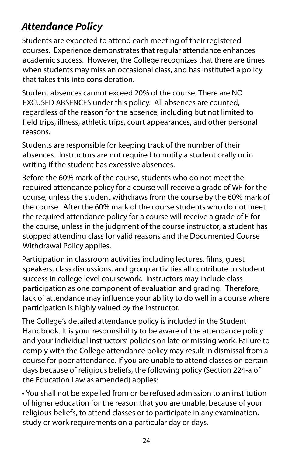## <span id="page-24-0"></span>*Attendance Policy*

Students are expected to attend each meeting of their registered courses. Experience demonstrates that regular attendance enhances academic success. However, the College recognizes that there are times when students may miss an occasional class, and has instituted a policy that takes this into consideration.

reasons. Student absences cannot exceed 20% of the course. There are NO EXCUSED ABSENCES under this policy. All absences are counted, regardless of the reason for the absence, including but not limited to feld trips, illness, athletic trips, court appearances, and other personal

writing if the student has excessive absences. Students are responsible for keeping track of the number of their absences. Instructors are not required to notify a student orally or in

Before the 60% mark of the course, students who do not meet the required attendance policy for a course will receive a grade of WF for the course, unless the student withdraws from the course by the 60% mark of the course. After the 60% mark of the course students who do not meet the required attendance policy for a course will receive a grade of F for the course, unless in the judgment of the course instructor, a student has stopped attending class for valid reasons and the Documented Course Withdrawal Policy applies.

Participation in classroom activities including lectures, flms, guest speakers, class discussions, and group activities all contribute to student success in college level coursework. Instructors may include class participation as one component of evaluation and grading. Therefore, lack of attendance may infuence your ability to do well in a course where participation is highly valued by the instructor.

The College's detailed attendance policy is included in the Student Handbook. It is your responsibility to be aware of the attendance policy and your individual instructors' policies on late or missing work. Failure to comply with the College attendance policy may result in dismissal from a course for poor attendance. If you are unable to attend classes on certain days because of religious beliefs, the following policy (Section 224-a of the Education Law as amended) applies:

• You shall not be expelled from or be refused admission to an institution of higher education for the reason that you are unable, because of your religious beliefs, to attend classes or to participate in any examination, study or work requirements on a particular day or days.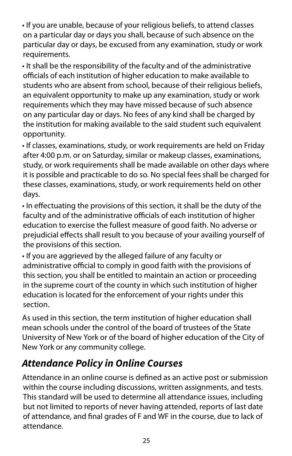<span id="page-25-0"></span>• If you are unable, because of your religious beliefs, to attend classes on a particular day or days you shall, because of such absence on the particular day or days, be excused from any examination, study or work requirements.

• It shall be the responsibility of the faculty and of the administrative officials of each institution of higher education to make available to students who are absent from school, because of their religious beliefs, an equivalent opportunity to make up any examination, study or work requirements which they may have missed because of such absence on any particular day or days. No fees of any kind shall be charged by the institution for making available to the said student such equivalent opportunity.

• If classes, examinations, study, or work requirements are held on Friday after 4:00 p.m. or on Saturday, similar or makeup classes, examinations, study, or work requirements shall be made available on other days where it is possible and practicable to do so. No special fees shall be charged for these classes, examinations, study, or work requirements held on other days.

• In efectuating the provisions of this section, it shall be the duty of the faculty and of the administrative officials of each institution of higher education to exercise the fullest measure of good faith. No adverse or prejudicial efects shall result to you because of your availing yourself of the provisions of this section.

• If you are aggrieved by the alleged failure of any faculty or administrative official to comply in good faith with the provisions of this section, you shall be entitled to maintain an action or proceeding in the supreme court of the county in which such institution of higher education is located for the enforcement of your rights under this section.

As used in this section, the term institution of higher education shall mean schools under the control of the board of trustees of the State University of New York or of the board of higher education of the City of New York or any community college.

## *Attendance Policy in Online Courses*

Attendance in an online course is defned as an active post or submission within the course including discussions, written assignments, and tests. This standard will be used to determine all attendance issues, including but not limited to reports of never having attended, reports of last date of attendance, and fnal grades of F and WF in the course, due to lack of attendance.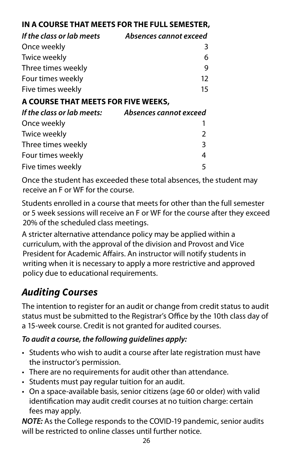### <span id="page-26-0"></span>**IN A COURSE THAT MEETS FOR THE FULL SEMESTER,**

| If the class or lab meets           | Absences cannot exceed |
|-------------------------------------|------------------------|
| Once weekly                         | 3                      |
| Twice weekly                        | 6                      |
| Three times weekly                  | 9                      |
| Four times weekly                   | 12                     |
| Five times weekly                   | 15                     |
| A COURSE THAT MEETS FOR FIVE WEEKS, |                        |
| If the class or lab meets:          | Absences cannot exceed |
| Once weekly                         |                        |
| Twice weekly                        | 2                      |
| Three times weekly                  | 3                      |
| Four times weekly                   | 4                      |
| Five times weekly                   | 5                      |

Once the student has exceeded these total absences, the student may receive an F or WF for the course.

Students enrolled in a course that meets for other than the full semester or 5 week sessions will receive an F or WF for the course after they exceed 20% of the scheduled class meetings.

A stricter alternative attendance policy may be applied within a curriculum, with the approval of the division and Provost and Vice President for Academic Affairs. An instructor will notify students in writing when it is necessary to apply a more restrictive and approved policy due to educational requirements.

## *Auditing Courses*

The intention to register for an audit or change from credit status to audit status must be submitted to the Registrar's Office by the 10th class day of a 15-week course. Credit is not granted for audited courses.

### *To audit a course, the following guidelines apply:*

- Students who wish to audit a course after late registration must have the instructor's permission.
- There are no requirements for audit other than attendance.
- Students must pay regular tuition for an audit.
- On a space-available basis, senior citizens (age 60 or older) with valid identifcation may audit credit courses at no tuition charge: certain fees may apply.

*NOTE:* As the College responds to the COVID-19 pandemic, senior audits will be restricted to online classes until further notice.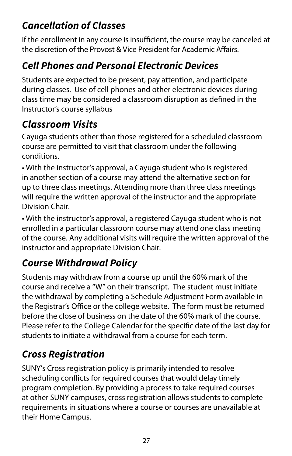## <span id="page-27-0"></span>*Cancellation of Classes*

If the enrollment in any course is insufficient, the course may be canceled at the discretion of the Provost & Vice President for Academic Affairs.

## *Cell Phones and Personal Electronic Devices*

Students are expected to be present, pay attention, and participate during classes. Use of cell phones and other electronic devices during class time may be considered a classroom disruption as defned in the Instructor's course syllabus

### *Classroom Visits*

Cayuga students other than those registered for a scheduled classroom course are permitted to visit that classroom under the following conditions.

• With the instructor's approval, a Cayuga student who is registered in another section of a course may attend the alternative section for up to three class meetings. Attending more than three class meetings will require the written approval of the instructor and the appropriate Division Chair.

• With the instructor's approval, a registered Cayuga student who is not enrolled in a particular classroom course may attend one class meeting of the course. Any additional visits will require the written approval of the instructor and appropriate Division Chair.

## *Course Withdrawal Policy*

Students may withdraw from a course up until the 60% mark of the course and receive a "W" on their transcript. The student must initiate the withdrawal by completing a Schedule Adjustment Form available in the Registrar's Office or the college website. The form must be returned before the close of business on the date of the 60% mark of the course. Please refer to the College Calendar for the specifc date of the last day for students to initiate a withdrawal from a course for each term.

## *Cross Registration*

SUNY's Cross registration policy is primarily intended to resolve scheduling conficts for required courses that would delay timely program completion. By providing a process to take required courses at other SUNY campuses, cross registration allows students to complete requirements in situations where a course or courses are unavailable at their Home Campus.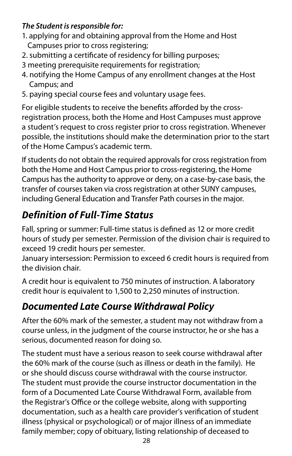### <span id="page-28-0"></span>*The Student is responsible for:*

- 1. applying for and obtaining approval from the Home and Host Campuses prior to cross registering;
- 2. submitting a certifcate of residency for billing purposes;
- 3 meeting prerequisite requirements for registration;
- 4. notifying the Home Campus of any enrollment changes at the Host Campus; and
- 5. paying special course fees and voluntary usage fees.

For eligible students to receive the benefits afforded by the crossregistration process, both the Home and Host Campuses must approve a student's request to cross register prior to cross registration. Whenever possible, the institutions should make the determination prior to the start of the Home Campus's academic term.

If students do not obtain the required approvals for cross registration from both the Home and Host Campus prior to cross-registering, the Home Campus has the authority to approve or deny, on a case-by-case basis, the transfer of courses taken via cross registration at other SUNY campuses, including General Education and Transfer Path courses in the major.

## *Definition of Full-Time Status*

Fall, spring or summer: Full-time status is defned as 12 or more credit hours of study per semester. Permission of the division chair is required to exceed 19 credit hours per semester.

January intersession: Permission to exceed 6 credit hours is required from the division chair.

A credit hour is equivalent to 750 minutes of instruction. A laboratory credit hour is equivalent to 1,500 to 2,250 minutes of instruction.

## *Documented Late Course Withdrawal Policy*

serious, documented reason for doing so. After the 60% mark of the semester, a student may not withdraw from a course unless, in the judgment of the course instructor, he or she has a

The student must have a serious reason to seek course withdrawal after the 60% mark of the course (such as illness or death in the family). He or she should discuss course withdrawal with the course instructor. The student must provide the course instructor documentation in the form of a Documented Late Course Withdrawal Form, available from the Registrar's Office or the college website, along with supporting documentation, such as a health care provider's verifcation of student illness (physical or psychological) or of major illness of an immediate family member; copy of obituary, listing relationship of deceased to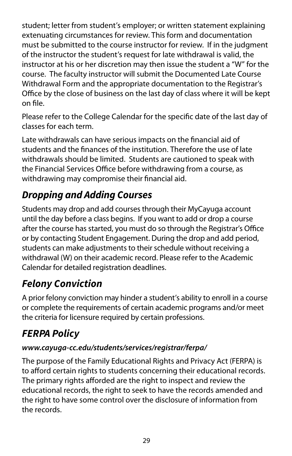<span id="page-29-0"></span>student; letter from student's employer; or written statement explaining extenuating circumstances for review. This form and documentation must be submitted to the course instructor for review. If in the judgment of the instructor the student's request for late withdrawal is valid, the instructor at his or her discretion may then issue the student a "W" for the course. The faculty instructor will submit the Documented Late Course Withdrawal Form and the appropriate documentation to the Registrar's Office by the close of business on the last day of class where it will be kept on fle.

Please refer to the College Calendar for the specifc date of the last day of classes for each term.

Late withdrawals can have serious impacts on the fnancial aid of students and the fnances of the institution. Therefore the use of late withdrawals should be limited. Students are cautioned to speak with the Financial Services Office before withdrawing from a course, as withdrawing may compromise their fnancial aid.

## *Dropping and Adding Courses*

Students may drop and add courses through their MyCayuga account until the day before a class begins. If you want to add or drop a course after the course has started, you must do so through the Registrar's Office or by contacting Student Engagement. During the drop and add period, students can make adjustments to their schedule without receiving a withdrawal (W) on their academic record. Please refer to the Academic Calendar for detailed registration deadlines.

## *Felony Conviction*

A prior felony conviction may hinder a student's ability to enroll in a course or complete the requirements of certain academic programs and/or meet the criteria for licensure required by certain professions.

## *FERPA Policy*

### *[www.cayuga-cc.edu/students/services/registrar/ferpa/](www.cayuga-cc.edu/students/services/registrar/ferpa)*

The purpose of the Family Educational Rights and Privacy Act (FERPA) is to afford certain rights to students concerning their educational records. The primary rights afforded are the right to inspect and review the educational records, the right to seek to have the records amended and the right to have some control over the disclosure of information from the records.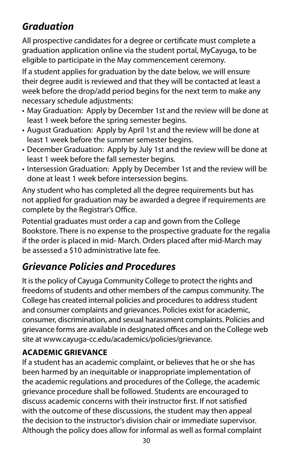## <span id="page-30-0"></span>*Graduation*

All prospective candidates for a degree or certifcate must complete a graduation application online via the student portal, MyCayuga, to be eligible to participate in the May commencement ceremony.

If a student applies for graduation by the date below, we will ensure their degree audit is reviewed and that they will be contacted at least a week before the drop/add period begins for the next term to make any necessary schedule adjustments:

- May Graduation: Apply by December 1st and the review will be done at least 1 week before the spring semester begins.
- August Graduation: Apply by April 1st and the review will be done at least 1 week before the summer semester begins.
- December Graduation: Apply by July 1st and the review will be done at least 1 week before the fall semester begins.
- Intersession Graduation: Apply by December 1st and the review will be done at least 1 week before intersession begins.

Any student who has completed all the degree requirements but has not applied for graduation may be awarded a degree if requirements are complete by the Registrar's Office.

Potential graduates must order a cap and gown from the College Bookstore. There is no expense to the prospective graduate for the regalia if the order is placed in mid- March. Orders placed after mid-March may be assessed a \$10 administrative late fee.

## *Grievance Policies and Procedures*

It is the policy of Cayuga Community College to protect the rights and freedoms of students and other members of the campus community. The College has created internal policies and procedures to address student and consumer complaints and grievances. Policies exist for academic, consumer, discrimination, and sexual harassment complaints. Policies and grievance forms are available in designated offices and on the College web site at [www.cayuga-cc.edu/academics/policies/grievance.](www.cayuga-cc.edu/academics/policies/grievance)

### **ACADEMIC GRIEVANCE**

If a student has an academic complaint, or believes that he or she has been harmed by an inequitable or inappropriate implementation of the academic regulations and procedures of the College, the academic grievance procedure shall be followed. Students are encouraged to discuss academic concerns with their instructor frst. If not satisfed with the outcome of these discussions, the student may then appeal the decision to the instructor's division chair or immediate supervisor. Although the policy does allow for informal as well as formal complaint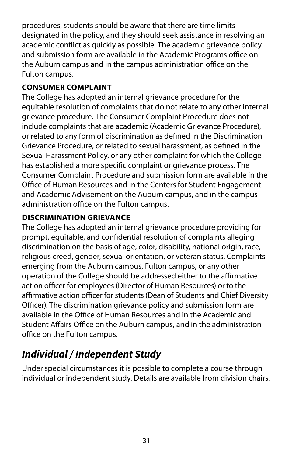<span id="page-31-0"></span>procedures, students should be aware that there are time limits designated in the policy, and they should seek assistance in resolving an academic confict as quickly as possible. The academic grievance policy and submission form are available in the Academic Programs office on the Auburn campus and in the campus administration office on the Fulton campus.

### **CONSUMER COMPLAINT**

The College has adopted an internal grievance procedure for the equitable resolution of complaints that do not relate to any other internal grievance procedure. The Consumer Complaint Procedure does not include complaints that are academic (Academic Grievance Procedure), or related to any form of discrimination as defned in the Discrimination Grievance Procedure, or related to sexual harassment, as defned in the Sexual Harassment Policy, or any other complaint for which the College has established a more specifc complaint or grievance process. The Consumer Complaint Procedure and submission form are available in the Office of Human Resources and in the Centers for Student Engagement and Academic Advisement on the Auburn campus, and in the campus administration office on the Fulton campus.

### **DISCRIMINATION GRIEVANCE**

The College has adopted an internal grievance procedure providing for prompt, equitable, and confdential resolution of complaints alleging discrimination on the basis of age, color, disability, national origin, race, religious creed, gender, sexual orientation, or veteran status. Complaints emerging from the Auburn campus, Fulton campus, or any other operation of the College should be addressed either to the afrmative action officer for employees (Director of Human Resources) or to the affirmative action officer for students (Dean of Students and Chief Diversity Officer). The discrimination grievance policy and submission form are available in the Office of Human Resources and in the Academic and Student Affairs Office on the Auburn campus, and in the administration office on the Fulton campus.

## *Individual / Independent Study*

Under special circumstances it is possible to complete a course through individual or independent study. Details are available from division chairs.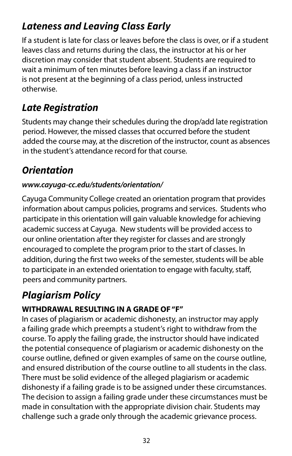## <span id="page-32-0"></span>*Lateness and Leaving Class Early*

If a student is late for class or leaves before the class is over, or if a student leaves class and returns during the class, the instructor at his or her discretion may consider that student absent. Students are required to wait a minimum of ten minutes before leaving a class if an instructor is not present at the beginning of a class period, unless instructed otherwise.

### *Late Registration*

Students may change their schedules during the drop/add late registration period. However, the missed classes that occurred before the student added the course may, at the discretion of the instructor, count as absences in the student's attendance record for that course.

## *Orientation*

### *[www.cayuga-cc.edu/students/orientation/](www.cayuga-cc.edu/students/orientation)*

Cayuga Community College created an orientation program that provides information about campus policies, programs and services. Students who participate in this orientation will gain valuable knowledge for achieving academic success at Cayuga. New students will be provided access to our online orientation after they register for classes and are strongly encouraged to complete the program prior to the start of classes. In addition, during the frst two weeks of the semester, students will be able to participate in an extended orientation to engage with faculty, staf, peers and community partners.

## *Plagiarism Policy*

### **WITHDRAWAL RESULTING IN A GRADE OF "F"**

In cases of plagiarism or academic dishonesty, an instructor may apply a failing grade which preempts a student's right to withdraw from the course. To apply the failing grade, the instructor should have indicated the potential consequence of plagiarism or academic dishonesty on the course outline, defned or given examples of same on the course outline, and ensured distribution of the course outline to all students in the class. There must be solid evidence of the alleged plagiarism or academic dishonesty if a failing grade is to be assigned under these circumstances. The decision to assign a failing grade under these circumstances must be made in consultation with the appropriate division chair. Students may challenge such a grade only through the academic grievance process.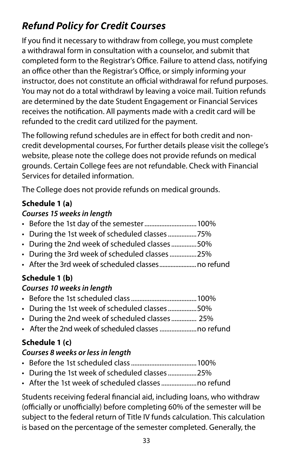## <span id="page-33-0"></span>*Refund Policy for Credit Courses*

If you fnd it necessary to withdraw from college, you must complete a withdrawal form in consultation with a counselor, and submit that completed form to the Registrar's Office. Failure to attend class, notifying an office other than the Registrar's Office, or simply informing your instructor, does not constitute an official withdrawal for refund purposes. You may not do a total withdrawl by leaving a voice mail. Tuition refunds are determined by the date Student Engagement or Financial Services receives the notifcation. All payments made with a credit card will be refunded to the credit card utilized for the payment.

The following refund schedules are in efect for both credit and noncredit developmental courses, For further details please visit the college's website, please note the college does not provide refunds on medical grounds. Certain College fees are not refundable. Check with Financial Services for detailed information.

The College does not provide refunds on medical grounds.

### **Schedule 1 (a)**

### *Courses 15 weeks in length*

- Before the 1st day of the semester............................... 100%
- During the 1st week of scheduled classes.................75%
- During the 2nd week of scheduled classes...............50%
- During the 3rd week of scheduled classes................25%
- After the 3rd week of scheduled classes.......................no refund

### **Schedule 1 (b)**

### *Courses 10 weeks in length*

- Before the 1st scheduled class.......................................100%
- During the 1st week of scheduled classes.................50%
- During the 2nd week of scheduled classes ............... 25%
- After the 2nd week of scheduled classes ......................no refund

### **Schedule 1 (c)**

### *Courses 8 weeks or less in length*

- Before the 1st scheduled class.......................................100%
- During the 1st week of scheduled classes.................25%
- After the 1st week of scheduled classes.....................no refund

Students receiving federal fnancial aid, including loans, who withdraw (officially or unofficially) before completing 60% of the semester will be subject to the federal return of Title IV funds calculation. This calculation is based on the percentage of the semester completed. Generally, the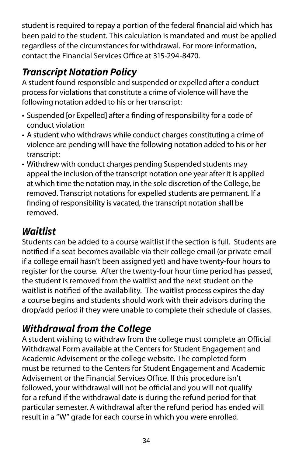<span id="page-34-0"></span>student is required to repay a portion of the federal fnancial aid which has been paid to the student. This calculation is mandated and must be applied regardless of the circumstances for withdrawal. For more information, contact the Financial Services Office at 315-294-8470

## *Transcript Notation Policy*

A student found responsible and suspended or expelled after a conduct process for violations that constitute a crime of violence will have the following notation added to his or her transcript:

- • Suspended [or Expelled] after a fnding of responsibility for a code of conduct violation
- A student who withdraws while conduct charges constituting a crime of violence are pending will have the following notation added to his or her transcript:
- Withdrew with conduct charges pending Suspended students may appeal the inclusion of the transcript notation one year after it is applied at which time the notation may, in the sole discretion of the College, be removed. Transcript notations for expelled students are permanent. If a fnding of responsibility is vacated, the transcript notation shall be removed.

## *Waitlist*

Students can be added to a course waitlist if the section is full. Students are notifed if a seat becomes available via their college email (or private email if a college email hasn't been assigned yet) and have twenty-four hours to register for the course. After the twenty-four hour time period has passed, the student is removed from the waitlist and the next student on the waitlist is notifed of the availability. The waitlist process expires the day a course begins and students should work with their advisors during the drop/add period if they were unable to complete their schedule of classes.

## *Withdrawal from the College*

A student wishing to withdraw from the college must complete an Official Withdrawal Form available at the Centers for Student Engagement and Academic Advisement or the college website. The completed form must be returned to the Centers for Student Engagement and Academic Advisement or the Financial Services Office. If this procedure isn't followed, your withdrawal will not be official and you will not qualify for a refund if the withdrawal date is during the refund period for that particular semester. A withdrawal after the refund period has ended will result in a "W" grade for each course in which you were enrolled.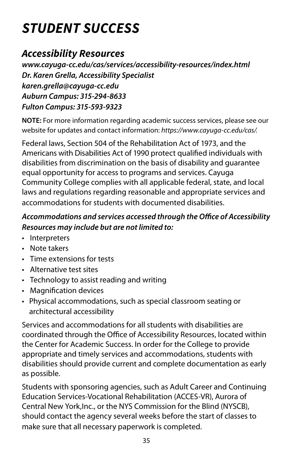# <span id="page-35-0"></span>*STUDENT SUCCESS*

### *Accessibility Resources*

*[www.cayuga-cc.edu/cas/services/accessibility-resources/index.html](https://www.cayuga-cc.edu/cas/services/accessibility-resources/index.html)  Dr. Karen Grella, Accessibility Specialist [karen.grella@cayuga-cc.edu](mailto:karen.grella@cayuga-cc.edu)  Auburn Campus: 315-294-8633 Fulton Campus: 315-593-9323* 

**NOTE:** For more information regarding academic success services, please see our website for updates and contact information: *[https://www.cayuga-cc.edu/cas/.](https://www.cayuga-cc.edu/cas/)* 

Federal laws, Section 504 of the Rehabilitation Act of 1973, and the Americans with Disabilities Act of 1990 protect qualifed individuals with disabilities from discrimination on the basis of disability and guarantee equal opportunity for access to programs and services. Cayuga Community College complies with all applicable federal, state, and local laws and regulations regarding reasonable and appropriate services and accommodations for students with documented disabilities.

### Accommodations and services accessed through the Office of Accessibility *Resources may include but are not limited to:*

- Interpreters
- Note takers
- Time extensions for tests
- Alternative test sites
- Technology to assist reading and writing
- Magnifcation devices
- Physical accommodations, such as special classroom seating or architectural accessibility

Services and accommodations for all students with disabilities are coordinated through the Office of Accessibility Resources, located within the Center for Academic Success. In order for the College to provide appropriate and timely services and accommodations, students with disabilities should provide current and complete documentation as early as possible.

Students with sponsoring agencies, such as Adult Career and Continuing Education Services-Vocational Rehabilitation (ACCES-VR), Aurora of Central New York,Inc., or the NYS Commission for the Blind (NYSCB), should contact the agency several weeks before the start of classes to make sure that all necessary paperwork is completed.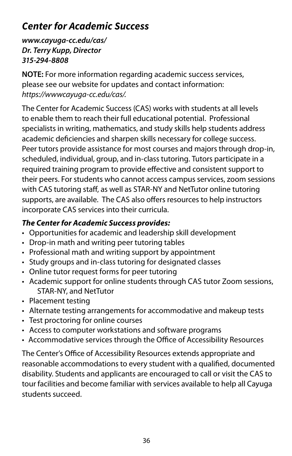## <span id="page-36-0"></span>*Center for Academic Success*

*[www.cayuga-cc.edu/cas/](https://www.cayuga-cc.edu/cas/)  Dr. Terry Kupp, Director 315-294-8808* 

**NOTE:** For more information regarding academic success services, please see our website for updates and contact information: *[https://wwwcayuga-cc.edu/cas/.](https://www.cayuga-cc.edu/cas/)* 

The Center for Academic Success (CAS) works with students at all levels to enable them to reach their full educational potential. Professional specialists in writing, mathematics, and study skills help students address academic defciencies and sharpen skills necessary for college success. Peer tutors provide assistance for most courses and majors through drop-in, scheduled, individual, group, and in-class tutoring. Tutors participate in a required training program to provide efective and consistent support to their peers. For students who cannot access campus services, zoom sessions with CAS tutoring staff, as well as STAR-NY and NetTutor online tutoring supports, are available. The CAS also offers resources to help instructors incorporate CAS services into their curricula.

### *The Center for Academic Success provides:*

- Opportunities for academic and leadership skill development
- Drop-in math and writing peer tutoring tables
- Professional math and writing support by appointment
- Study groups and in-class tutoring for designated classes
- Online tutor request forms for peer tutoring
- Academic support for online students through CAS tutor Zoom sessions, STAR-NY, and NetTutor
- Placement testing
- Alternate testing arrangements for accommodative and makeup tests
- Test proctoring for online courses
- Access to computer workstations and software programs
- Accommodative services through the Office of Accessibility Resources

The Center's Office of Accessibility Resources extends appropriate and reasonable accommodations to every student with a qualifed, documented disability. Students and applicants are encouraged to call or visit the CAS to tour facilities and become familiar with services available to help all Cayuga students succeed.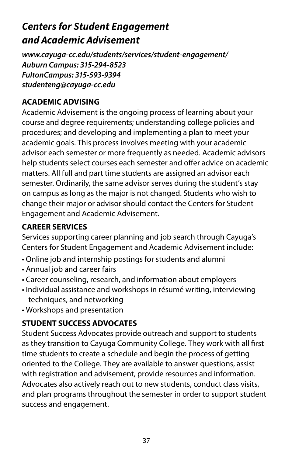## <span id="page-37-0"></span>*Centers for Student Engagement and Academic Advisement*

*[www.cayuga-cc.edu/students/services/student-engagement/](https://www.cayuga-cc.edu/students/services/student-engagement/) Auburn Campus: 315-294-8523 FultonCampus: 315-593-9394 [studenteng@cayuga-cc.edu](mailto:studenteng%40cayuga-cc.edu?subject=)* 

### **ACADEMIC ADVISING**

Academic Advisement is the ongoing process of learning about your course and degree requirements; understanding college policies and procedures; and developing and implementing a plan to meet your academic goals. This process involves meeting with your academic advisor each semester or more frequently as needed. Academic advisors help students select courses each semester and offer advice on academic matters. All full and part time students are assigned an advisor each semester. Ordinarily, the same advisor serves during the student's stay on campus as long as the major is not changed. Students who wish to change their major or advisor should contact the Centers for Student Engagement and Academic Advisement.

### **CAREER SERVICES**

Services supporting career planning and job search through Cayuga's Centers for Student Engagement and Academic Advisement include:

- Online job and internship postings for students and alumni
- Annual job and career fairs
- Career counseling, research, and information about employers
- Individual assistance and workshops in résumé writing, interviewing techniques, and networking
- Workshops and presentation

### **STUDENT SUCCESS ADVOCATES**

Student Success Advocates provide outreach and support to students as they transition to Cayuga Community College. They work with all frst time students to create a schedule and begin the process of getting oriented to the College. They are available to answer questions, assist with registration and advisement, provide resources and information. Advocates also actively reach out to new students, conduct class visits, and plan programs throughout the semester in order to support student success and engagement.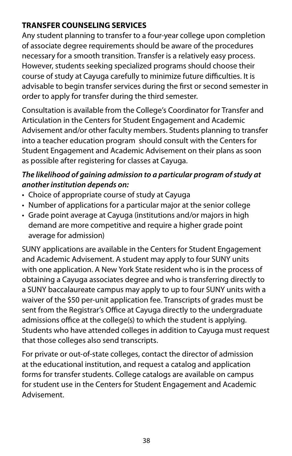### <span id="page-38-0"></span>**TRANSFER COUNSELING SERVICES**

Any student planning to transfer to a four-year college upon completion of associate degree requirements should be aware of the procedures necessary for a smooth transition. Transfer is a relatively easy process. However, students seeking specialized programs should choose their course of study at Cayuga carefully to minimize future difficulties. It is advisable to begin transfer services during the frst or second semester in order to apply for transfer during the third semester.

Consultation is available from the College's Coordinator for Transfer and Articulation in the Centers for Student Engagement and Academic Advisement and/or other faculty members. Students planning to transfer into a teacher education program should consult with the Centers for Student Engagement and Academic Advisement on their plans as soon as possible after registering for classes at Cayuga.

### *The likelihood of gaining admission to a particular program of study at another institution depends on:*

- Choice of appropriate course of study at Cayuga
- Number of applications for a particular major at the senior college
- Grade point average at Cayuga (institutions and/or majors in high demand are more competitive and require a higher grade point average for admission)

SUNY applications are available in the Centers for Student Engagement and Academic Advisement. A student may apply to four SUNY units with one application. A New York State resident who is in the process of obtaining a Cayuga associates degree and who is transferring directly to a SUNY baccalaureate campus may apply to up to four SUNY units with a waiver of the \$50 per-unit application fee. Transcripts of grades must be sent from the Registrar's Office at Cayuga directly to the undergraduate admissions office at the college(s) to which the student is applying. Students who have attended colleges in addition to Cayuga must request that those colleges also send transcripts.

For private or out-of-state colleges, contact the director of admission at the educational institution, and request a catalog and application forms for transfer students. College catalogs are available on campus for student use in the Centers for Student Engagement and Academic Advisement.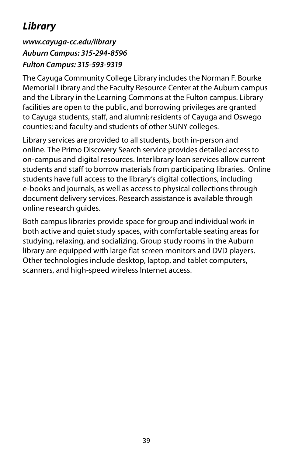## <span id="page-39-0"></span>*Library*

### *[www.cayuga-cc.edu/library](http://www.cayuga-cc.edu/library )  Auburn Campus: 315-294-8596 Fulton Campus: 315-593-9319*

The Cayuga Community College Library includes the Norman F. Bourke Memorial Library and the Faculty Resource Center at the Auburn campus and the Library in the Learning Commons at the Fulton campus. Library facilities are open to the public, and borrowing privileges are granted to Cayuga students, staff, and alumni; residents of Cayuga and Oswego counties; and faculty and students of other SUNY colleges.

Library services are provided to all students, both in-person and online. The Primo Discovery Search service provides detailed access to on-campus and digital resources. Interlibrary loan services allow current students and staff to borrow materials from participating libraries. Online students have full access to the library's digital collections, including e-books and journals, as well as access to physical collections through document delivery services. Research assistance is available through online research guides.

Both campus libraries provide space for group and individual work in both active and quiet study spaces, with comfortable seating areas for studying, relaxing, and socializing. Group study rooms in the Auburn library are equipped with large fat screen monitors and DVD players. Other technologies include desktop, laptop, and tablet computers, scanners, and high-speed wireless Internet access.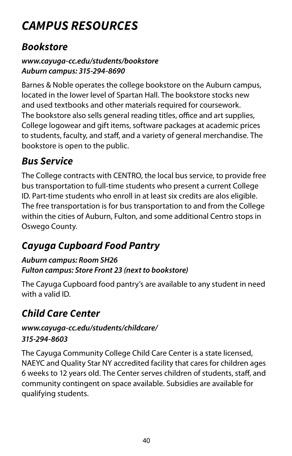# <span id="page-40-0"></span>*CAMPUS RESOURCES*

### *Bookstore*

### *[www.cayuga-cc.edu/students/bookstore](https://www.cayuga-cc.edu/students/bookstore/)  Auburn campus: 315-294-8690*

Barnes & Noble operates the college bookstore on the Auburn campus, located in the lower level of Spartan Hall. The bookstore stocks new and used textbooks and other materials required for coursework. The bookstore also sells general reading titles, office and art supplies, College logowear and gift items, software packages at academic prices to students, faculty, and staff, and a variety of general merchandise. The bookstore is open to the public.

## *Bus Service*

The College contracts with CENTRO, the local bus service, to provide free bus transportation to full-time students who present a current College ID. Part-time students who enroll in at least six credits are alos eligible. The free transportation is for bus transportation to and from the College within the cities of Auburn, Fulton, and some additional Centro stops in Oswego County.

## *Cayuga Cupboard Food Pantry*

### *Auburn campus: Room SH26 Fulton campus: Store Front 23 (next to bookstore)*

The Cayuga Cupboard food pantry's are available to any student in need with a valid ID.

## *Child Care Center*

### *[www.cayuga-cc.edu/students/childcare/](https://www.cayuga-cc.edu/students/childcare/) 315-294-8603*

The Cayuga Community College Child Care Center is a state licensed, NAEYC and Quality Star NY accredited facility that cares for children ages 6 weeks to 12 years old. The Center serves children of students, staf, and community contingent on space available. Subsidies are available for qualifying students.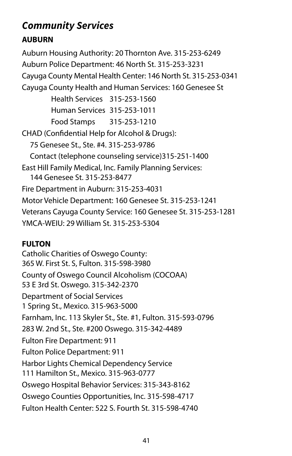## <span id="page-41-0"></span>*Community Services*

### **AUBURN**

 East Hill Family Medical, Inc. Family Planning Services: 144 Genesee St. 315-253-8477 Auburn Housing Authority: 20 Thornton Ave. 315-253-6249 Auburn Police Department: 46 North St. 315-253-3231 Cayuga County Mental Health Center: 146 North St. 315-253-0341 Cayuga County Health and Human Services: 160 Genesee St Health Services 315-253-1560 Human Services 315-253-1011 Food Stamps 315-253-1210 CHAD (Confdential Help for Alcohol & Drugs): 75 Genesee St., Ste. #4. 315-253-9786 Contact (telephone counseling service)315-251-1400 Fire Department in Auburn: 315-253-4031 Motor Vehicle Department: 160 Genesee St. 315-253-1241 Veterans Cayuga County Service: 160 Genesee St. 315-253-1281 YMCA-WEIU: 29 William St. 315-253-5304

### **FULTON**

**Catholic Charities of Oswego County:** County of Oswego Council Alcoholism (COCOAA)<br>53 E 3rd St. Oswego. 315-342-2370 365 W. First St. S, Fulton. 315-598-3980 Department of Social Services 1 Spring St., Mexico. 315-963-5000 Farnham, Inc. 113 Skyler St., Ste. #1, Fulton. 315-593-0796 283 W. 2nd St., Ste. #200 Oswego. 315-342-4489 Fulton Fire Department: 911 Fulton Police Department: 911 Harbor Lights Chemical Dependency Service 111 Hamilton St., Mexico. 315-963-0777 Oswego Hospital Behavior Services: 315-343-8162 Oswego Counties Opportunities, Inc. 315-598-4717 Fulton Health Center: 522 S. Fourth St. 315-598-4740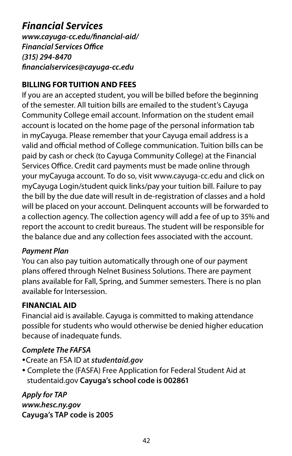### <span id="page-42-0"></span>*Financial Services*

*[www.cayuga-cc.edu/fnancial-aid/](https://www.cayuga-cc.edu/financial-aid/)  Financial Services Office (315) 294-8470 [fnancialservices@cayuga-cc.edu](mailto:financialservices%40cayuga-cc.edu?subject=Financial%20Services)* 

### **BILLING FOR TUITION AND FEES**

If you are an accepted student, you will be billed before the beginning of the semester. All tuition bills are emailed to the student's Cayuga Community College email account. Information on the student email account is located on the home page of the personal information tab in myCayuga. Please remember that your Cayuga email address is a valid and official method of College communication. Tuition bills can be paid by cash or check (to Cayuga Community College) at the Financial Services Office. Credit card payments must be made online through your myCayuga account. To do so, visit <www.cayuga-cc.edu>and click on myCayuga Login/student quick links/pay your tuition bill. Failure to pay the bill by the due date will result in de-registration of classes and a hold will be placed on your account. Delinquent accounts will be forwarded to a collection agency. The collection agency will add a fee of up to 35% and report the account to credit bureaus. The student will be responsible for the balance due and any collection fees associated with the account.

### *Payment Plan*

 available for Intersession. You can also pay tuition automatically through one of our payment plans ofered through Nelnet Business Solutions. There are payment plans available for Fall, Spring, and Summer semesters. There is no plan

### **FINANCIAL AID**

Financial aid is available. Cayuga is committed to making attendance possible for students who would otherwise be denied higher education because of inadequate funds.

### *Complete The FAFSA*

- Create an FSA ID at *[studentaid.gov](https://studentaid.gov/)*
- Complete the (FASFA) Free Application for Federal Student Aid at [studentaid.gov](https://studentaid.gov) **Cayuga's school code is 002861**

*Apply for TAP [www.hesc.ny.gov](https://www.hesc.ny.gov/)*  **Cayuga's TAP code is 2005**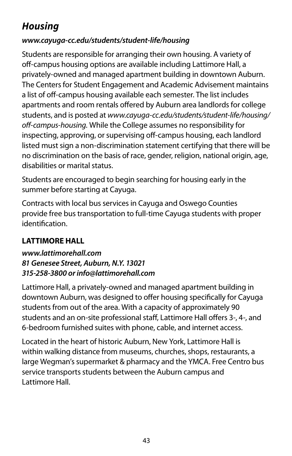## <span id="page-43-0"></span>*Housing*

### *[www.cayuga-cc.edu/students/student-life/housing](https://www.cayuga-cc.edu/students/student-life/housing/)*

Students are responsible for arranging their own housing. A variety of off-campus housing options are available including Lattimore Hall, a privately-owned and managed apartment building in downtown Auburn. The Centers for Student Engagement and Academic Advisement maintains a list of off-campus housing available each semester. The list includes apartments and room rentals ofered by Auburn area landlords for college students, and is posted at *[www.cayuga-cc.edu/students/student-life/housing/](www.cayuga-cc.edu/students/student-life/housing) of-campus-housing.* While the College assumes no responsibility for inspecting, approving, or supervising off-campus housing, each landlord listed must sign a non-discrimination statement certifying that there will be no discrimination on the basis of race, gender, religion, national origin, age, disabilities or marital status.

Students are encouraged to begin searching for housing early in the summer before starting at Cayuga.

Contracts with local bus services in Cayuga and Oswego Counties provide free bus transportation to full-time Cayuga students with proper identifcation.

### **[LATTIMORE HALL](http://www.lattimorehall.com/)**

### *[www.lattimorehall.com](http://www.lattimorehall.com/)  81 Genesee Street, Auburn, N.Y. 13021 315-258-3800 or [info@lattimorehall.com](mailto:info%40lattimorehall.com?subject=)*

Lattimore Hall, a privately-owned and managed apartment building in downtown Auburn, was designed to offer housing specifically for Cayuga students from out of the area. With a capacity of approximately 90 students and an on-site professional staff, Lattimore Hall offers 3-, 4-, and 6-bedroom furnished suites with phone, cable, and internet access.

Located in the heart of historic Auburn, New York, Lattimore Hall is within walking distance from museums, churches, shops, restaurants, a large Wegman's supermarket & pharmacy and the YMCA. Free Centro bus service transports students between the Auburn campus and Lattimore Hall.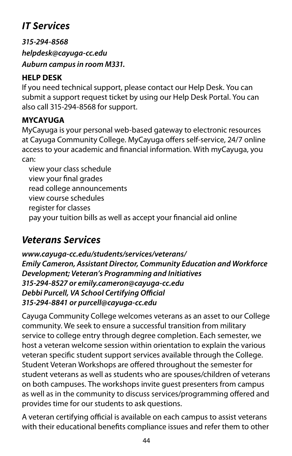## <span id="page-44-0"></span>*IT Services*

*315-294-8568 [helpdesk@cayuga-cc.edu](mailto:helpdesk%40cayuga-cc.edu%20?subject=)  Auburn campus in room M331.* 

### **HELP DESK**

If you need technical support, please contact our Help Desk. You can submit a support request ticket by using our Help Desk Portal. You can also call 315-294-8568 for support.

### **MYCAYUGA**

MyCayuga is your personal web-based gateway to electronic resources at Cayuga Community College. MyCayuga offers self-service, 24/7 online access to your academic and fnancial information. With myCayuga, you can:

 view your class schedule view your fnal grades read college announcements view course schedules register for classes pay your tuition bills as well as accept your fnancial aid online

### *Veterans Services*

*[www.cayuga-cc.edu/students/services/veterans/](www.cayuga-cc.edu/students/services/veterans) Emily Cameron, Assistant Director, Community Education and Workforce Development; Veteran's Programming and Initiatives 315-294-8527 or [emily.cameron@cayuga-cc.edu](mailto:emily.cameron%40cayuga-cc.edu?subject=)*  **Debbi Purcell, VA School Certifying Official** *315-294-8841 or [purcell@cayuga-cc.edu](mailto:purcell@cayuga-cc.edu)* 

Cayuga Community College welcomes veterans as an asset to our College community. We seek to ensure a successful transition from military service to college entry through degree completion. Each semester, we host a veteran welcome session within orientation to explain the various veteran specifc student support services available through the College. Student Veteran Workshops are ofered throughout the semester for student veterans as well as students who are spouses/children of veterans on both campuses. The workshops invite guest presenters from campus as well as in the community to discuss services/programming ofered and provides time for our students to ask questions.

A veteran certifying official is available on each campus to assist veterans with their educational benefts compliance issues and refer them to other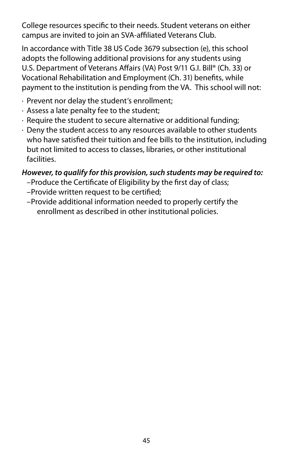<span id="page-45-0"></span>College resources specifc to their needs. Student veterans on either campus are invited to join an SVA-afliated Veterans Club.

In accordance with Title 38 US Code 3679 subsection (e), this school adopts the following additional provisions for any students using U.S. Department of Veterans Affairs (VA) Post 9/11 G.I. Bill® (Ch. 33) or Vocational Rehabilitation and Employment (Ch. 31) benefts, while payment to the institution is pending from the VA. This school will not:

- · Prevent nor delay the student's enrollment;
- · Assess a late penalty fee to the student;
- · Require the student to secure alternative or additional funding;
- · Deny the student access to any resources available to other students who have satisfed their tuition and fee bills to the institution, including but not limited to access to classes, libraries, or other institutional facilities.

### *However, to qualify for this provision, such students may be required to:*

- –Produce the Certifcate of Eligibility by the frst day of class;
- –Provide written request to be certifed;
- –Provide additional information needed to properly certify the enrollment as described in other institutional policies.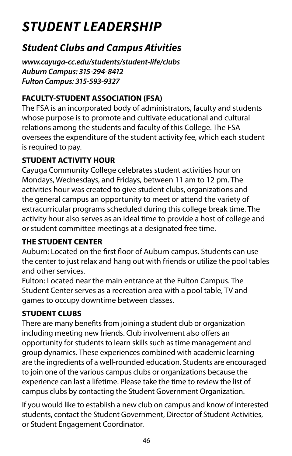# <span id="page-46-0"></span>*STUDENT LEADERSHIP*

### *Student Clubs and Campus Ativities*

*[www.cayuga-cc.edu/students/student-life/clubs](https://www.cayuga-cc.edu/students/student-life/clubs/)  Auburn Campus: 315-294-8412 Fulton Campus: 315-593-9327* 

### **FACULTY-STUDENT ASSOCIATION (FSA)**

The FSA is an incorporated body of administrators, faculty and students whose purpose is to promote and cultivate educational and cultural relations among the students and faculty of this College. The FSA oversees the expenditure of the student activity fee, which each student is required to pay.

### **STUDENT ACTIVITY HOUR**

Cayuga Community College celebrates student activities hour on Mondays, Wednesdays, and Fridays, between 11 am to 12 pm. The activities hour was created to give student clubs, organizations and the general campus an opportunity to meet or attend the variety of extracurricular programs scheduled during this college break time. The activity hour also serves as an ideal time to provide a host of college and or student committee meetings at a designated free time.

### **THE STUDENT CENTER**

Auburn: Located on the first floor of Auburn campus. Students can use the center to just relax and hang out with friends or utilize the pool tables and other services.

Fulton: Located near the main entrance at the Fulton Campus. The Student Center serves as a recreation area with a pool table, TV and games to occupy downtime between classes.

### **STUDENT CLUBS**

There are many benefts from joining a student club or organization including meeting new friends. Club involvement also offers an opportunity for students to learn skills such as time management and group dynamics. These experiences combined with academic learning are the ingredients of a well-rounded education. Students are encouraged to join one of the various campus clubs or organizations because the experience can last a lifetime. Please take the time to review the list of campus clubs by contacting the Student Government Organization.

If you would like to establish a new club on campus and know of interested students, contact the Student Government, Director of Student Activities, or Student Engagement Coordinator.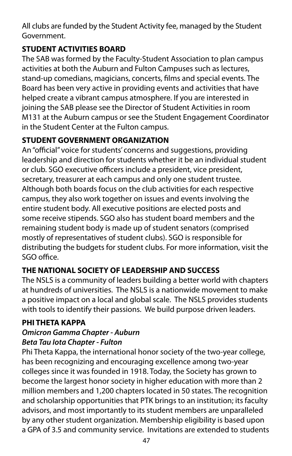All clubs are funded by the Student Activity fee, managed by the Student Government.

### **STUDENT ACTIVITIES BOARD**

The SAB was formed by the Faculty-Student Association to plan campus activities at both the Auburn and Fulton Campuses such as lectures, stand-up comedians, magicians, concerts, flms and special events. The Board has been very active in providing events and activities that have helped create a vibrant campus atmosphere. If you are interested in joining the SAB please see the Director of Student Activities in room M131 at the Auburn campus or see the Student Engagement Coordinator in the Student Center at the Fulton campus.

### **STUDENT GOVERNMENT ORGANIZATION**

An "official" voice for students' concerns and suggestions, providing leadership and direction for students whether it be an individual student or club. SGO executive officers include a president, vice president, secretary, treasurer at each campus and only one student trustee. Although both boards focus on the club activities for each respective campus, they also work together on issues and events involving the entire student body. All executive positions are elected posts and some receive stipends. SGO also has student board members and the remaining student body is made up of student senators (comprised mostly of representatives of student clubs). SGO is responsible for distributing the budgets for student clubs. For more information, visit the  $SGO$  office.

### **THE NATIONAL SOCIETY OF LEADERSHIP AND SUCCESS**

The NSLS is a community of leaders building a better world with chapters at hundreds of universities. The NSLS is a nationwide movement to make a positive impact on a local and global scale. The NSLS provides students with tools to identify their passions. We build purpose driven leaders.

### **PHI THETA KAPPA**

#### *Omicron Gamma Chapter - Auburn Beta Tau Iota Chapter - Fulton*

Phi Theta Kappa, the international honor society of the two-year college, has been recognizing and encouraging excellence among two-year colleges since it was founded in 1918. Today, the Society has grown to become the largest honor society in higher education with more than 2 million members and 1,200 chapters located in 50 states. The recognition and scholarship opportunities that PTK brings to an institution; its faculty advisors, and most importantly to its student members are unparalleled by any other student organization. Membership eligibility is based upon a GPA of 3.5 and community service. Invitations are extended to students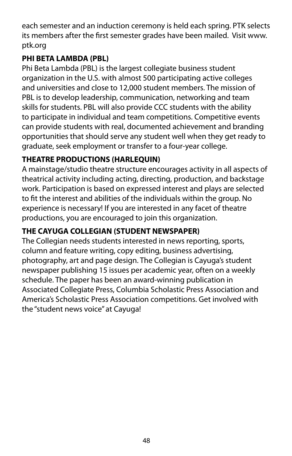each semester and an induction ceremony is held each spring. PTK selects its members after the frst semester grades have been mailed. Visit www. ptk.org

### **PHI BETA LAMBDA (PBL)**

Phi Beta Lambda (PBL) is the largest collegiate business student organization in the U.S. with almost 500 participating active colleges and universities and close to 12,000 student members. The mission of PBL is to develop leadership, communication, networking and team skills for students. PBL will also provide CCC students with the ability to participate in individual and team competitions. Competitive events can provide students with real, documented achievement and branding opportunities that should serve any student well when they get ready to graduate, seek employment or transfer to a four-year college.

### **THEATRE PRODUCTIONS (HARLEQUIN)**

A mainstage/studio theatre structure encourages activity in all aspects of theatrical activity including acting, directing, production, and backstage work. Participation is based on expressed interest and plays are selected to ft the interest and abilities of the individuals within the group. No experience is necessary! If you are interested in any facet of theatre productions, you are encouraged to join this organization.

### **THE CAYUGA COLLEGIAN (STUDENT NEWSPAPER)**

The Collegian needs students interested in news reporting, sports, column and feature writing, copy editing, business advertising, photography, art and page design. The Collegian is Cayuga's student newspaper publishing 15 issues per academic year, often on a weekly schedule. The paper has been an award-winning publication in Associated Collegiate Press, Columbia Scholastic Press Association and America's Scholastic Press Association competitions. Get involved with the "student news voice" at Cayuga!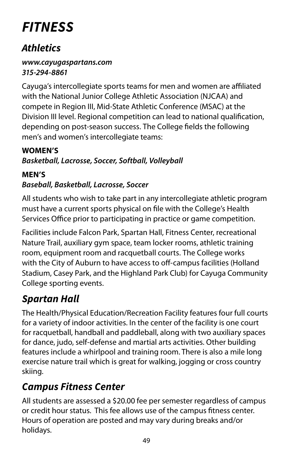# <span id="page-49-0"></span>*FITNESS*

### *Athletics*

#### *[www.cayugaspartans.com](https://www.cayugaspartans.com/landing/index)  315-294-8861*

Cayuga's intercollegiate sports teams for men and women are afliated with the National Junior College Athletic Association (NJCAA) and compete in Region III, Mid-State Athletic Conference (MSAC) at the Division III level. Regional competition can lead to national qualifcation, depending on post-season success. The College felds the following men's and women's intercollegiate teams:

### **WOMEN'S**

### *Basketball, Lacrosse, Soccer, Softball, Volleyball*

### **MEN'S**  *Baseball, Basketball, Lacrosse, Soccer*

All students who wish to take part in any intercollegiate athletic program must have a current sports physical on fle with the College's Health Services Office prior to participating in practice or game competition.

Facilities include Falcon Park, Spartan Hall, Fitness Center, recreational Nature Trail, auxiliary gym space, team locker rooms, athletic training room, equipment room and racquetball courts. The College works with the City of Auburn to have access to off-campus facilities (Holland Stadium, Casey Park, and the Highland Park Club) for Cayuga Community College sporting events.

## *Spartan Hall*

The Health/Physical Education/Recreation Facility features four full courts for a variety of indoor activities. In the center of the facility is one court for racquetball, handball and paddleball, along with two auxiliary spaces for dance, judo, self-defense and martial arts activities. Other building features include a whirlpool and training room. There is also a mile long exercise nature trail which is great for walking, jogging or cross country skiing.

## *Campus Fitness Center*

All students are assessed a \$20.00 fee per semester regardless of campus or credit hour status. This fee allows use of the campus ftness center. Hours of operation are posted and may vary during breaks and/or holidays.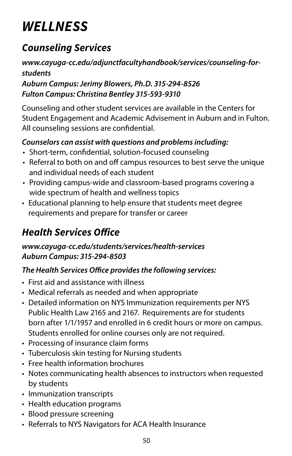# <span id="page-50-0"></span>*WELLNESS*

## *Counseling Services*

### *[www.cayuga-cc.edu/adjunctfacultyhandbook/services/counseling-for](https://www.cayuga-cc.edu/adjunctfacultyhandbook/services/counseling-for-students/)[students](https://www.cayuga-cc.edu/adjunctfacultyhandbook/services/counseling-for-students/)*

### *Auburn Campus: Jerimy Blowers, Ph.D. 315-294-8526 Fulton Campus: Christina Bentley 315-593-9310*

Counseling and other student services are available in the Centers for Student Engagement and Academic Advisement in Auburn and in Fulton. All counseling sessions are confdential.

### *Counselors can assist with questions and problems including:*

- Short-term, confdential, solution-focused counseling
- Referral to both on and off campus resources to best serve the unique and individual needs of each student
- Providing campus-wide and classroom-based programs covering a wide spectrum of health and wellness topics
- Educational planning to help ensure that students meet degree requirements and prepare for transfer or career

## *Health Services Ofice*

### *[www.cayuga-cc.edu/students/services/health-services](https://www.cayuga-cc.edu/students/services/health-services/)  Auburn Campus: 315-294-8503*

### **The Health Services Office provides the following services:**

- First aid and assistance with illness
- Medical referrals as needed and when appropriate
- Detailed information on NYS Immunization requirements per NYS Public Health Law 2165 and 2167. Requirements are for students born after 1/1/1957 and enrolled in 6 credit hours or more on campus. Students enrolled for online courses only are not required.
- Processing of insurance claim forms
- Tuberculosis skin testing for Nursing students
- Free health information brochures
- • Notes communicating health absences to instructors when requested by students
- Immunization transcripts
- Health education programs
- Blood pressure screening
- Referrals to NYS Navigators for ACA Health Insurance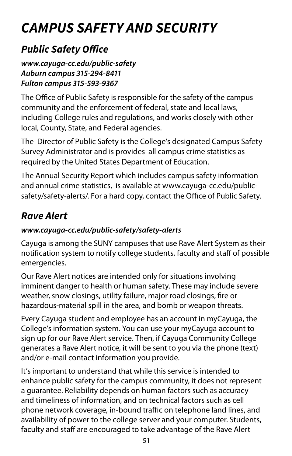# <span id="page-51-0"></span>*CAMPUS SAFETY AND SECURITY*

## *Public Safety Ofice*

### *[www.cayuga-cc.edu/public-safety](https://www.cayuga-cc.edu/public-safety/)  Auburn campus 315-294-8411 Fulton campus 315-593-9367*

The Office of Public Safety is responsible for the safety of the campus community and the enforcement of federal, state and local laws, including College rules and regulations, and works closely with other local, County, State, and Federal agencies.

The Director of Public Safety is the College's designated Campus Safety Survey Administrator and is provides all campus crime statistics as required by the United States Department of Education.

The Annual Security Report which includes campus safety information and annual crime statistics, is available at<www.cayuga-cc.edu/public>safety/safety-alerts/. For a hard copy, contact the Office of Public Safety.

## *Rave Alert*

### *[www.cayuga-cc.edu/public-safety/safety-alerts](https://www.cayuga-cc.edu/public-safety/safety-alerts/)*

Cayuga is among the SUNY campuses that use Rave Alert System as their notification system to notify college students, faculty and staff of possible emergencies.

Our Rave Alert notices are intended only for situations involving imminent danger to health or human safety. These may include severe weather, snow closings, utility failure, major road closings, fre or hazardous-material spill in the area, and bomb or weapon threats.

Every Cayuga student and employee has an account in myCayuga, the College's information system. You can use your myCayuga account to sign up for our Rave Alert service. Then, if Cayuga Community College generates a Rave Alert notice, it will be sent to you via the phone (text) and/or e-mail contact information you provide.

It's important to understand that while this service is intended to enhance public safety for the campus community, it does not represent a guarantee. Reliability depends on human factors such as accuracy and timeliness of information, and on technical factors such as cell phone network coverage, in-bound traffic on telephone land lines, and availability of power to the college server and your computer. Students, faculty and staff are encouraged to take advantage of the Rave Alert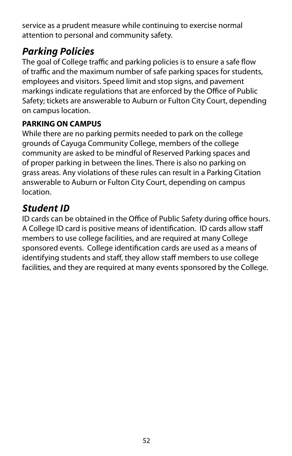<span id="page-52-0"></span>service as a prudent measure while continuing to exercise normal attention to personal and community safety.

### *Parking Policies*

The goal of College traffic and parking policies is to ensure a safe flow of traffic and the maximum number of safe parking spaces for students, employees and visitors. Speed limit and stop signs, and pavement markings indicate regulations that are enforced by the Office of Public Safety; tickets are answerable to Auburn or Fulton City Court, depending on campus location.

### **PARKING ON CAMPUS**

While there are no parking permits needed to park on the college grounds of Cayuga Community College, members of the college community are asked to be mindful of Reserved Parking spaces and of proper parking in between the lines. There is also no parking on grass areas. Any violations of these rules can result in a Parking Citation answerable to Auburn or Fulton City Court, depending on campus location.

### *Student ID*

 facilities, and they are required at many events sponsored by the College. ID cards can be obtained in the Office of Public Safety during office hours. A College ID card is positive means of identifcation. ID cards allow staf members to use college facilities, and are required at many College sponsored events. College identifcation cards are used as a means of identifying students and staff, they allow staff members to use college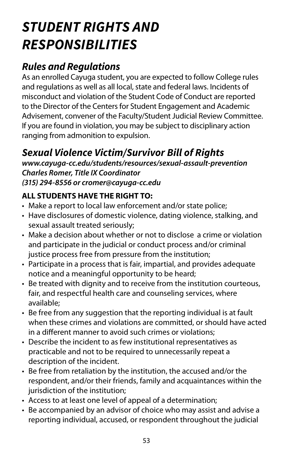# <span id="page-53-0"></span>*STUDENT RIGHTS AND RESPONSIBILITIES*

### *Rules and Regulations*

As an enrolled Cayuga student, you are expected to follow College rules and regulations as well as all local, state and federal laws. Incidents of misconduct and violation of the Student Code of Conduct are reported to the Director of the Centers for Student Engagement and Academic Advisement, convener of the Faculty/Student Judicial Review Committee. If you are found in violation, you may be subject to disciplinary action ranging from admonition to expulsion.

### *Sexual Violence Victim/Survivor Bill of Rights*

*[www.cayuga-cc.edu/students/resources/sexual-assault-prevention](https://www.cayuga-cc.edu/students/resources/sexual-assault-prevention/)  Charles Romer, Title IX Coordinator (315) 294-8556 or [cromer@cayuga-cc.edu](mailto:cromer%40cayuga-cc.edu?subject=)* 

### **ALL STUDENTS HAVE THE RIGHT TO:**

- Make a report to local law enforcement and/or state police;
- Have disclosures of domestic violence, dating violence, stalking, and sexual assault treated seriously;
- Make a decision about whether or not to disclose a crime or violation and participate in the judicial or conduct process and/or criminal justice process free from pressure from the institution;
- Participate in a process that is fair, impartial, and provides adequate notice and a meaningful opportunity to be heard;
- Be treated with dignity and to receive from the institution courteous, fair, and respectful health care and counseling services, where available;
- Be free from any suggestion that the reporting individual is at fault when these crimes and violations are committed, or should have acted in a diferent manner to avoid such crimes or violations;
- Describe the incident to as few institutional representatives as practicable and not to be required to unnecessarily repeat a description of the incident.
- respondent, and/or their friends, family and acquaintances within the<br>jurisdiction of the institution; • Be free from retaliation by the institution, the accused and/or the
- Access to at least one level of appeal of a determination;
- reporting individual, accused, or respondent throughout the judicial<br>53 • Be accompanied by an advisor of choice who may assist and advise a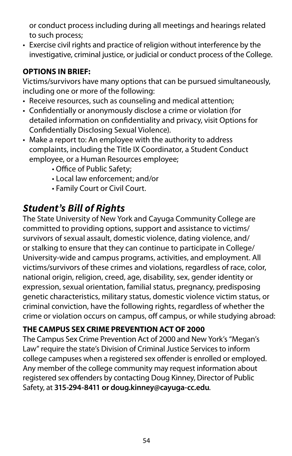<span id="page-54-0"></span>or conduct process including during all meetings and hearings related<br>to such process;

• Exercise civil rights and practice of religion without interference by the investigative, criminal justice, or judicial or conduct process of the College.

### **OPTIONS IN BRIEF:**

Victims/survivors have many options that can be pursued simultaneously, including one or more of the following:

- Receive resources, such as counseling and medical attention;
- Confidentially or anonymously disclose a crime or violation (for detailed information on confidentiality and privacy, visit Options for Confdentially Disclosing Sexual Violence).
- complaints, including the Title IX Coordinator, a Student Conduct<br>employee, or a Human Resources employee; • Make a report to: An employee with the authority to address
	- Office of Public Safety;
	- Local law enforcement; and/or
	- Family Court or Civil Court.

### *Student's Bill of Rights*

The State University of New York and Cayuga Community College are committed to providing options, support and assistance to victims/ survivors of sexual assault, domestic violence, dating violence, and/ or stalking to ensure that they can continue to participate in College/ University-wide and campus programs, activities, and employment. All victims/survivors of these crimes and violations, regardless of race, color, national origin, religion, creed, age, disability, sex, gender identity or expression, sexual orientation, familial status, pregnancy, predisposing genetic characteristics, military status, domestic violence victim status, or criminal conviction, have the following rights, regardless of whether the crime or violation occurs on campus, of campus, or while studying abroad:

### **THE CAMPUS SEX CRIME PREVENTION ACT OF 2000**

The Campus Sex Crime Prevention Act of 2000 and New York's "Megan's Law" require the state's Division of Criminal Justice Services to inform college campuses when a registered sex offender is enrolled or employed. Any member of the college community may request information about registered sex offenders by contacting Doug Kinney, Director of Public Safety, at **315-294-8411 or [doug.kinney@cayuga-cc.edu](mailto:doug.kinney%40cayuga-cc.edu?subject=)***.*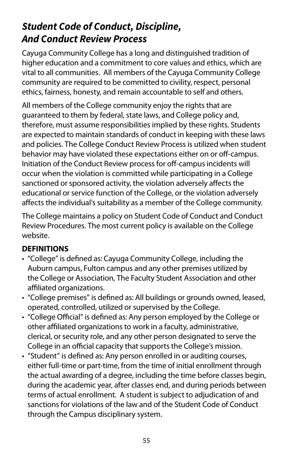### <span id="page-55-0"></span>*Student Code of Conduct, Discipline, And Conduct Review Process*

Cayuga Community College has a long and distinguished tradition of higher education and a commitment to core values and ethics, which are vital to all communities. All members of the Cayuga Community College community are required to be committed to civility, respect, personal ethics, fairness, honesty, and remain accountable to self and others.

All members of the College community enjoy the rights that are guaranteed to them by federal, state laws, and College policy and, therefore, must assume responsibilities implied by these rights. Students are expected to maintain standards of conduct in keeping with these laws and policies. The College Conduct Review Process is utilized when student behavior may have violated these expectations either on or off-campus. Initiation of the Conduct Review process for off-campus incidents will occur when the violation is committed while participating in a College sanctioned or sponsored activity, the violation adversely affects the educational or service function of the College, or the violation adversely afects the individual's suitability as a member of the College community.

The College maintains a policy on Student Code of Conduct and Conduct Review Procedures. The most current policy is available on the College website.

### **DEFINITIONS**

- "College" is defned as: Cayuga Community College, including the Auburn campus, Fulton campus and any other premises utilized by the College or Association, The Faculty Student Association and other affiliated organizations.
- "College premises" is defned as: All buildings or grounds owned, leased, operated, controlled, utilized or supervised by the College.
- "College Official" is defined as: Any person employed by the College or other affiliated organizations to work in a faculty, administrative, clerical, or security role, and any other person designated to serve the College in an official capacity that supports the College's mission.
- during the academic year, after classes end, and during periods between • "Student" is defned as: Any person enrolled in or auditing courses, either full-time or part-time, from the time of initial enrollment through the actual awarding of a degree, including the time before classes begin, terms of actual enrollment. A student is subject to adjudication of and sanctions for violations of the law and of the Student Code of Conduct through the Campus disciplinary system.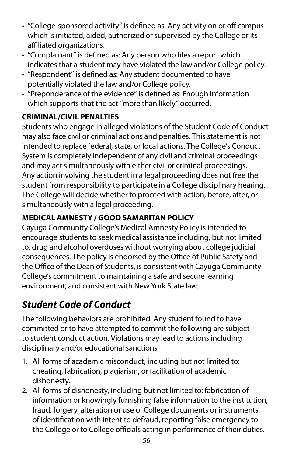- "College-sponsored activity" is defined as: Any activity on or off campus which is initiated, aided, authorized or supervised by the College or its affiliated organizations.
- "Complainant" is defned as: Any person who fles a report which indicates that a student may have violated the law and/or College policy.
- "Respondent" is defned as: Any student documented to have potentially violated the law and/or College policy.
- "Preponderance of the evidence" is defned as: Enough information which supports that the act "more than likely" occurred.

### **CRIMINAL/CIVIL PENALTIES**

and may act simultaneously with either civil or criminal proceedings. Students who engage in alleged violations of the Student Code of Conduct may also face civil or criminal actions and penalties. This statement is not intended to replace federal, state, or local actions. The College's Conduct System is completely independent of any civil and criminal proceedings Any action involving the student in a legal proceeding does not free the student from responsibility to participate in a College disciplinary hearing. The College will decide whether to proceed with action, before, after, or simultaneously with a legal proceeding.

### **MEDICAL AMNESTY / GOOD SAMARITAN POLICY**

Cayuga Community College's Medical Amnesty Policy is intended to encourage students to seek medical assistance including, but not limited to, drug and alcohol overdoses without worrying about college judicial consequences. The policy is endorsed by the Office of Public Safety and the Office of the Dean of Students, is consistent with Cayuga Community College's commitment to maintaining a safe and secure learning environment, and consistent with New York State law.

## *Student Code of Conduct*

The following behaviors are prohibited. Any student found to have committed or to have attempted to commit the following are subject to student conduct action. Violations may lead to actions including disciplinary and/or educational sanctions:

- 1. All forms of academic misconduct, including but not limited to: cheating, fabrication, plagiarism, or facilitation of academic dishonesty.
- 2. All forms of dishonesty, including but not limited to: fabrication of information or knowingly furnishing false information to the institution, fraud, forgery, alteration or use of College documents or instruments of identifcation with intent to defraud, reporting false emergency to the College or to College officials acting in performance of their duties.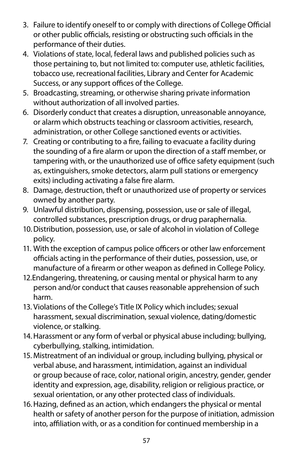- 3. Failure to identify oneself to or comply with directions of College Official or other public officials, resisting or obstructing such officials in the performance of their duties.
- 4. Violations of state, local, federal laws and published policies such as those pertaining to, but not limited to: computer use, athletic facilities, tobacco use, recreational facilities, Library and Center for Academic Success, or any support offices of the College.
- 5. Broadcasting, streaming, or otherwise sharing private information without authorization of all involved parties.
- 6. Disorderly conduct that creates a disruption, unreasonable annoyance, or alarm which obstructs teaching or classroom activities, research, administration, or other College sanctioned events or activities.
- as, extinguishers, smoke detectors, alarm pull stations or emergency<br>exits) including activating a false fire alarm. 7. Creating or contributing to a fre, failing to evacuate a facility during the sounding of a fire alarm or upon the direction of a staff member, or tampering with, or the unauthorized use of office safety equipment (such
- 8. Damage, destruction, theft or unauthorized use of property or services owned by another party.
- 9. Unlawful distribution, dispensing, possession, use or sale of illegal, controlled substances, prescription drugs, or drug paraphernalia.
- 10. Distribution, possession, use, or sale of alcohol in violation of College policy.
- 11. With the exception of campus police officers or other law enforcement officials acting in the performance of their duties, possession, use, or manufacture of a frearm or other weapon as defned in College Policy.
- person and/or conduct that causes reasonable apprehension of such<br>harm. 12.Endangering, threatening, or causing mental or physical harm to any
- harassment, sexual discrimination, sexual violence, dating/domestic<br>violence, or stalking. 13. Violations of the College's Title IX Policy which includes; sexual
- 14. Harassment or any form of verbal or physical abuse including; bullying, cyberbullying, stalking, intimidation.
- or group because of race, color, national origin, ancestry, gender, gender 15. Mistreatment of an individual or group, including bullying, physical or verbal abuse, and harassment, intimidation, against an individual identity and expression, age, disability, religion or religious practice, or sexual orientation, or any other protected class of individuals.
- 16. Hazing, defned as an action, which endangers the physical or mental health or safety of another person for the purpose of initiation, admission into, affiliation with, or as a condition for continued membership in a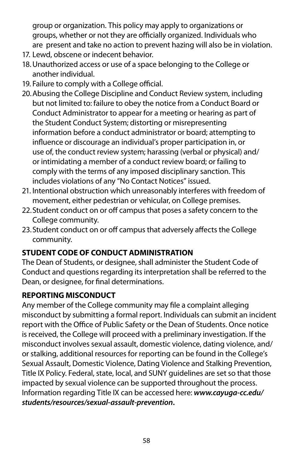group or organization. This policy may apply to organizations or groups, whether or not they are officially organized. Individuals who are present and take no action to prevent hazing will also be in violation.

- 17. Lewd, obscene or indecent behavior.
- 18. Unauthorized access or use of a space belonging to the College or another individual.
- 19. Failure to comply with a College official.
- the Student Conduct System; distorting or misrepresenting influence or discourage an individual's proper participation in, or 20. Abusing the College Discipline and Conduct Review system, including but not limited to: failure to obey the notice from a Conduct Board or Conduct Administrator to appear for a meeting or hearing as part of information before a conduct administrator or board; attempting to use of, the conduct review system; harassing (verbal or physical) and/ or intimidating a member of a conduct review board; or failing to comply with the terms of any imposed disciplinary sanction. This includes violations of any "No Contact Notices" issued.
- 21. Intentional obstruction which unreasonably interferes with freedom of movement, either pedestrian or vehicular, on College premises.
- 22. Student conduct on or off campus that poses a safety concern to the College community.
- 23. Student conduct on or off campus that adversely affects the College community.

### **STUDENT CODE OF CONDUCT ADMINISTRATION**

The Dean of Students, or designee, shall administer the Student Code of Conduct and questions regarding its interpretation shall be referred to the Dean, or designee, for fnal determinations.

### **REPORTING MISCONDUCT**

Any member of the College community may fle a complaint alleging misconduct by submitting a formal report. Individuals can submit an incident report with the Office of Public Safety or the Dean of Students. Once notice is received, the College will proceed with a preliminary investigation. If the misconduct involves sexual assault, domestic violence, dating violence, and/ or stalking, additional resources for reporting can be found in the College's Sexual Assault, Domestic Violence, Dating Violence and Stalking Prevention, Title IX Policy. Federal, state, local, and SUNY guidelines are set so that those impacted by sexual violence can be supported throughout the process. Information regarding Title IX can be accessed here: *[www.cayuga-cc.edu/](https://www.cayuga-cc.edu/students/resources/sexual-assault-prevention/)  [students/resources/sexual-assault-prevention](https://www.cayuga-cc.edu/students/resources/sexual-assault-prevention/)***.**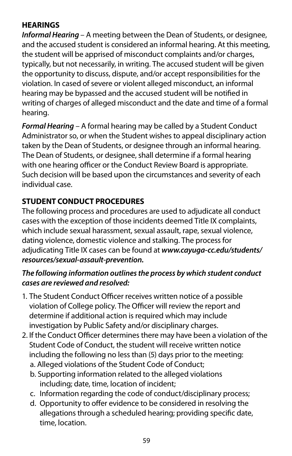### **HEARINGS**

*Informal Hearing* – A meeting between the Dean of Students, or designee, and the accused student is considered an informal hearing. At this meeting, the student will be apprised of misconduct complaints and/or charges, typically, but not necessarily, in writing. The accused student will be given the opportunity to discuss, dispute, and/or accept responsibilities for the violation. In cased of severe or violent alleged misconduct, an informal hearing may be bypassed and the accused student will be notifed in writing of charges of alleged misconduct and the date and time of a formal hearing.

*Formal Hearing* – A formal hearing may be called by a Student Conduct Administrator so, or when the Student wishes to appeal disciplinary action taken by the Dean of Students, or designee through an informal hearing. The Dean of Students, or designee, shall determine if a formal hearing with one hearing officer or the Conduct Review Board is appropriate. Such decision will be based upon the circumstances and severity of each individual case.

### **STUDENT CONDUCT PROCEDURES**

The following process and procedures are used to adjudicate all conduct cases with the exception of those incidents deemed Title IX complaints, which include sexual harassment, sexual assault, rape, sexual violence, dating violence, domestic violence and stalking. The process for adjudicating Title IX cases can be found at *[www.cayuga-cc.edu/students/](https://www.cayuga-cc.edu/students/resources/sexual-assault-prevention) [resources/sexual-assault-prevention.](https://www.cayuga-cc.edu/students/resources/sexual-assault-prevention)* 

#### *The following information outlines the process by which student conduct cases are reviewed and resolved:*

- 1. The Student Conduct Officer receives written notice of a possible violation of College policy. The Officer will review the report and determine if additional action is required which may include investigation by Public Safety and/or disciplinary charges.
- Student Code of Conduct, the student will receive written notice 2. If the Conduct Officer determines there may have been a violation of the including the following no less than (5) days prior to the meeting:
	- a. Alleged violations of the Student Code of Conduct;
	- b. Supporting information related to the alleged violations including; date, time, location of incident;
	- c. Information regarding the code of conduct/disciplinary process;
	- d. Opportunity to offer evidence to be considered in resolving the allegations through a scheduled hearing; providing specifc date, time, location.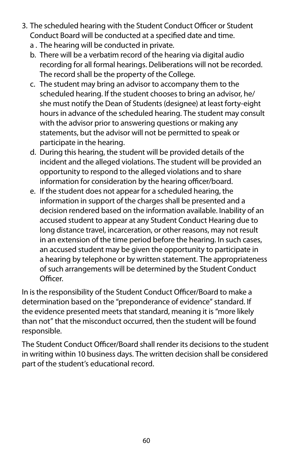- 3. The scheduled hearing with the Student Conduct Officer or Student Conduct Board will be conducted at a specified date and time.
	- a . The hearing will be conducted in private.
	- b. There will be a verbatim record of the hearing via digital audio recording for all formal hearings. Deliberations will not be recorded. The record shall be the property of the College.
	- c. The student may bring an advisor to accompany them to the scheduled hearing. If the student chooses to bring an advisor, he/ she must notify the Dean of Students (designee) at least forty-eight hours in advance of the scheduled hearing. The student may consult with the advisor prior to answering questions or making any statements, but the advisor will not be permitted to speak or participate in the hearing.
	- d. During this hearing, the student will be provided details of the incident and the alleged violations. The student will be provided an opportunity to respond to the alleged violations and to share information for consideration by the hearing officer/board.
	- e. If the student does not appear for a scheduled hearing, the information in support of the charges shall be presented and a decision rendered based on the information available. Inability of an accused student to appear at any Student Conduct Hearing due to long distance travel, incarceration, or other reasons, may not result in an extension of the time period before the hearing. In such cases, an accused student may be given the opportunity to participate in a hearing by telephone or by written statement. The appropriateness of such arrangements will be determined by the Student Conduct Officer.

In is the responsibility of the Student Conduct Officer/Board to make a determination based on the "preponderance of evidence" standard. If the evidence presented meets that standard, meaning it is "more likely than not" that the misconduct occurred, then the student will be found responsible.

The Student Conduct Officer/Board shall render its decisions to the student in writing within 10 business days. The written decision shall be considered part of the student's educational record.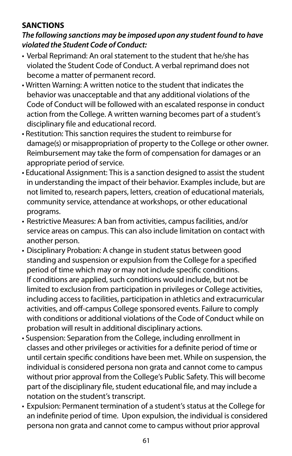### **SANCTIONS**

### *The following sanctions may be imposed upon any student found to have violated the Student Code of Conduct:*

- violated the Student Code of Conduct. A verbal reprimand does not<br>become a matter of permanent record. • Verbal Reprimand: An oral statement to the student that he/she has
- Written Warning: A written notice to the student that indicates the behavior was unacceptable and that any additional violations of the Code of Conduct will be followed with an escalated response in conduct action from the College. A written warning becomes part of a student's disciplinary fle and educational record.
- damage(s) or misappropriation of property to the College or other owner. • Restitution: This sanction requires the student to reimburse for Reimbursement may take the form of compensation for damages or an appropriate period of service.
- community service, attendance at workshops, or other educational<br>programs. • Educational Assignment: This is a sanction designed to assist the student in understanding the impact of their behavior. Examples include, but are not limited to, research papers, letters, creation of educational materials,
- Restrictive Measures: A ban from activities, campus facilities, and/or service areas on campus. This can also include limitation on contact with another person.
- Disciplinary Probation: A change in student status between good standing and suspension or expulsion from the College for a specifed period of time which may or may not include specifc conditions. If conditions are applied, such conditions would include, but not be limited to exclusion from participation in privileges or College activities, including access to facilities, participation in athletics and extracurricular activities, and off-campus College sponsored events. Failure to comply with conditions or additional violations of the Code of Conduct while on probation will result in additional disciplinary actions.
- Suspension: Separation from the College, including enrollment in individual is considered persona non grata and cannot come to campus classes and other privileges or activities for a definite period of time or until certain specifc conditions have been met. While on suspension, the without prior approval from the College's Public Safety. This will become part of the disciplinary fle, student educational fle, and may include a notation on the student's transcript.
- Expulsion: Permanent termination of a student's status at the College for an indefnite period of time. Upon expulsion, the individual is considered persona non grata and cannot come to campus without prior approval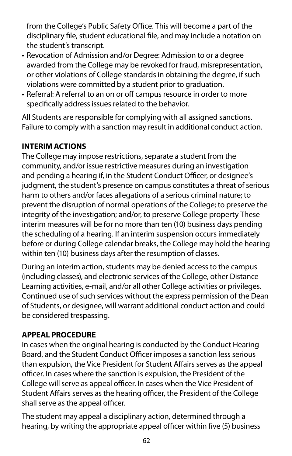from the College's Public Safety Office. This will become a part of the disciplinary fle, student educational fle, and may include a notation on the student's transcript.

- Revocation of Admission and/or Degree: Admission to or a degree awarded from the College may be revoked for fraud, misrepresentation, or other violations of College standards in obtaining the degree, if such violations were committed by a student prior to graduation.
- Referral: A referral to an on or off campus resource in order to more specifcally address issues related to the behavior.

All Students are responsible for complying with all assigned sanctions. Failure to comply with a sanction may result in additional conduct action.

### **INTERIM ACTIONS**

The College may impose restrictions, separate a student from the community, and/or issue restrictive measures during an investigation and pending a hearing if, in the Student Conduct Officer, or designee's judgment, the student's presence on campus constitutes a threat of serious harm to others and/or faces allegations of a serious criminal nature; to prevent the disruption of normal operations of the College; to preserve the integrity of the investigation; and/or, to preserve College property These interim measures will be for no more than ten (10) business days pending the scheduling of a hearing. If an interim suspension occurs immediately before or during College calendar breaks, the College may hold the hearing within ten (10) business days after the resumption of classes.

During an interim action, students may be denied access to the campus (including classes), and electronic services of the College, other Distance Learning activities, e-mail, and/or all other College activities or privileges. Continued use of such services without the express permission of the Dean of Students, or designee, will warrant additional conduct action and could be considered trespassing.

### **APPEAL PROCEDURE**

In cases when the original hearing is conducted by the Conduct Hearing Board, and the Student Conduct Officer imposes a sanction less serious than expulsion, the Vice President for Student Affairs serves as the appeal officer. In cases where the sanction is expulsion, the President of the College will serve as appeal officer. In cases when the Vice President of Student Affairs serves as the hearing officer, the President of the College shall serve as the appeal officer.

The student may appeal a disciplinary action, determined through a hearing, by writing the appropriate appeal officer within five (5) business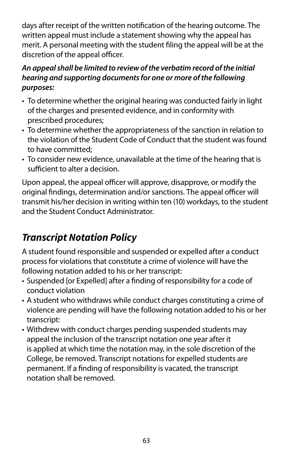<span id="page-63-0"></span>days after receipt of the written notifcation of the hearing outcome. The written appeal must include a statement showing why the appeal has merit. A personal meeting with the student fling the appeal will be at the discretion of the appeal officer.

### *An appeal shall be limited to review of the verbatim record of the initial hearing and supporting documents for one or more of the following purposes:*

- To determine whether the original hearing was conducted fairly in light of the charges and presented evidence, and in conformity with prescribed procedures;
- To determine whether the appropriateness of the sanction in relation to • To determine whether the appropriateness of the sanction in relation to the violation of the Student Code of Conduct that the student was found to have committed;
- To consider new evidence, unavailable at the time of the hearing that is sufficient to alter a decision.

Upon appeal, the appeal officer will approve, disapprove, or modify the original findings, determination and/or sanctions. The appeal officer will transmit his/her decision in writing within ten (10) workdays, to the student and the Student Conduct Administrator.

## *Transcript Notation Policy*

A student found responsible and suspended or expelled after a conduct process for violations that constitute a crime of violence will have the following notation added to his or her transcript:

- Suspended [or Expelled] after a fnding of responsibility for a code of conduct violation
- A student who withdraws while conduct charges constituting a crime of violence are pending will have the following notation added to his or her transcript:
- Withdrew with conduct charges pending suspended students may appeal the inclusion of the transcript notation one year after it is applied at which time the notation may, in the sole discretion of the College, be removed. Transcript notations for expelled students are permanent. If a fnding of responsibility is vacated, the transcript notation shall be removed.